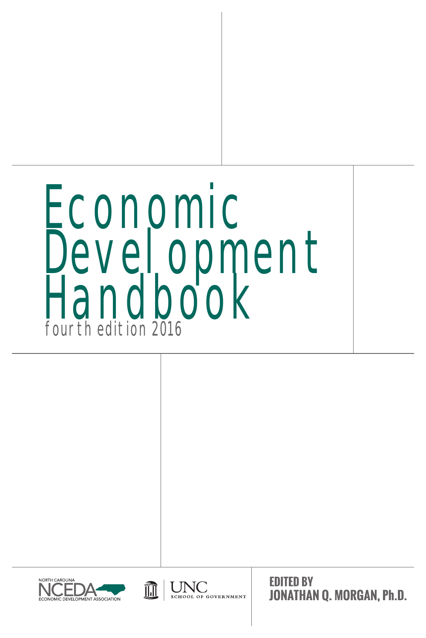# ECONOMIC DEVELOPMENT HANDBOOK **JON 2016**







**EDITED BY JONATHAN Q. MORGAN, Ph.D.**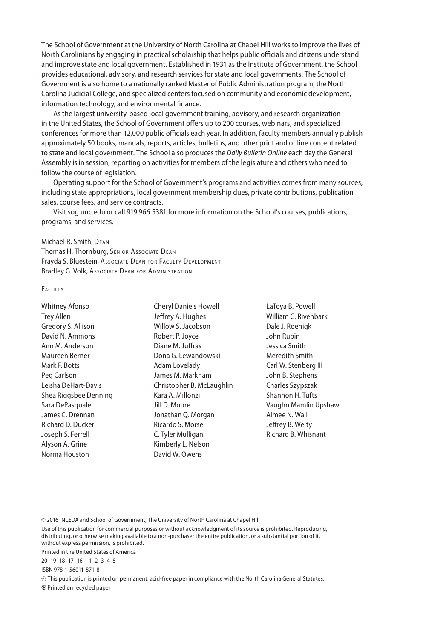The School of Government at the University of North Carolina at Chapel Hill works to improve the lives of North Carolinians by engaging in practical scholarship that helps public officials and citizens understand and improve state and local government. Established in 1931 as the Institute of Government, the School provides educational, advisory, and research services for state and local governments. The School of Government is also home to a nationally ranked Master of Public Administration program, the North Carolina Judicial College, and specialized centers focused on community and economic development, information technology, and environmental finance.

As the largest university-based local government training, advisory, and research organization in the United States, the School of Government offers up to 200 courses, webinars, and specialized conferences for more than 12,000 public officials each year. In addition, faculty members annually publish approximately 50 books, manuals, reports, articles, bulletins, and other print and online content related to state and local government. The School also produces the *Daily Bulletin Online* each day the General Assembly is in session, reporting on activities for members of the legislature and others who need to follow the course of legislation.

Operating support for the School of Government's programs and activities comes from many sources, including state appropriations, local government membership dues, private contributions, publication sales, course fees, and service contracts.

Visit sog.unc.edu or call 919.966.5381 for more information on the School's courses, publications, programs, and services.

#### Michael R. Smith, Dean

Thomas H. Thornburg, Senior Associate Dean Frayda S. Bluestein, Associate DEAN FOR FACULTY DEVELOPMENT Bradley G. Volk, Associate DEAN FOR ADMINISTRATION

#### **FACULTY**

Whitney Afonso Trey Allen Gregory S. Allison David N. Ammons Ann M. Anderson Maureen Berner Mark F. Botts Peg Carlson Leisha DeHart-Davis Shea Riggsbee Denning Sara DePasquale James C. Drennan Richard D. Ducker Joseph S. Ferrell Alyson A. Grine Norma Houston

Cheryl Daniels Howell Jeffrey A. Hughes Willow S. Jacobson Robert P. Joyce Diane M. Juffras Dona G. Lewandowski Adam Lovelady James M. Markham Christopher B. McLaughlin Kara A. Millonzi Jill D. Moore Jonathan Q. Morgan Ricardo S. Morse C. Tyler Mulligan Kimberly L. Nelson David W. Owens

LaToya B. Powell William C. Rivenbark Dale J. Roenigk John Rubin Jessica Smith Meredith Smith Carl W. Stenberg III John B. Stephens Charles Szypszak Shannon H. Tufts Vaughn Mamlin Upshaw Aimee N. Wall Jeffrey B. Welty Richard B. Whisnant

© 2016 NCEDA and School of Government, The University of North Carolina at Chapel Hill

Use of this publication for commercial purposes or without acknowledgment of its source is prohibited. Reproducing, distributing, or otherwise making available to a non-purchaser the entire publication, or a substantial portion of it, without express permission, is prohibited.

Printed in the United States of America

20 19 18 17 16 1 2 3 4 5

ISBN 978-1-56011-871-8

 This publication is printed on permanent, acid-free paper in compliance with the North Carolina General Statutes. Printed on recycled paper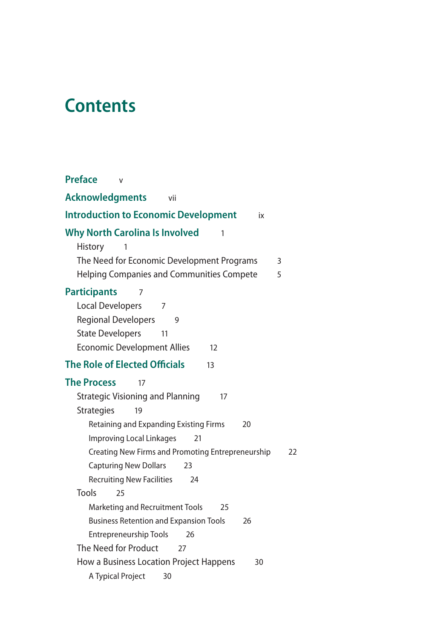# **Contents**

| <b>Preface</b><br>V                                                                                                                                                                                                                                                                                                                                                                                                                                                                             |        |    |
|-------------------------------------------------------------------------------------------------------------------------------------------------------------------------------------------------------------------------------------------------------------------------------------------------------------------------------------------------------------------------------------------------------------------------------------------------------------------------------------------------|--------|----|
| <b>Acknowledgments</b><br>vii                                                                                                                                                                                                                                                                                                                                                                                                                                                                   |        |    |
| <b>Introduction to Economic Development</b><br>ix                                                                                                                                                                                                                                                                                                                                                                                                                                               |        |    |
| <b>Why North Carolina Is Involved</b><br>1<br><b>History</b><br>1<br>The Need for Economic Development Programs<br>Helping Companies and Communities Compete                                                                                                                                                                                                                                                                                                                                    | 3<br>5 |    |
| <b>Participants</b><br>7<br><b>Local Developers</b><br>7<br><b>Regional Developers</b><br>9<br><b>State Developers</b><br>11<br><b>Economic Development Allies</b><br>12                                                                                                                                                                                                                                                                                                                        |        |    |
| <b>The Role of Elected Officials</b><br>13                                                                                                                                                                                                                                                                                                                                                                                                                                                      |        |    |
| <b>The Process</b><br>17<br><b>Strategic Visioning and Planning</b><br>17<br><b>Strategies</b><br>19<br>Retaining and Expanding Existing Firms<br>20<br><b>Improving Local Linkages</b><br>21<br>Creating New Firms and Promoting Entrepreneurship<br><b>Capturing New Dollars</b><br>23<br><b>Recruiting New Facilities</b><br>24<br>Tools<br>25<br><b>Marketing and Recruitment Tools</b><br>25<br><b>Business Retention and Expansion Tools</b><br>26<br><b>Entrepreneurship Tools</b><br>26 |        | 22 |
| The Need for Product<br>27<br>How a Business Location Project Happens<br>30<br>A Typical Project<br>30                                                                                                                                                                                                                                                                                                                                                                                          |        |    |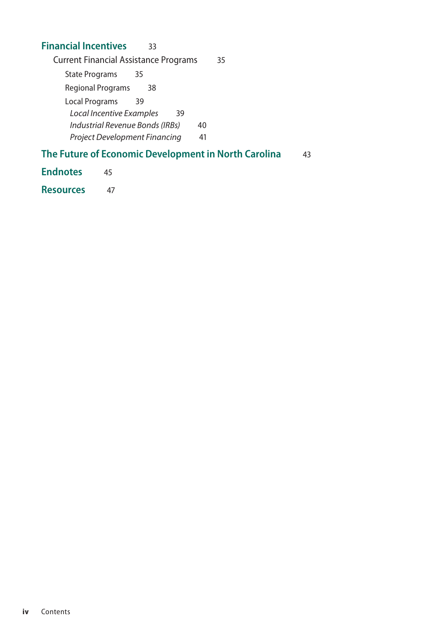#### **[Financial Incentives](#page-43-0)** 33

[Current Financial Assistance Programs 35](#page-45-0) [State Programs 35](#page-45-0) [Regional Programs 38](#page-48-0) [Local Programs 39](#page-49-0) *[Local Incentive Examples](#page-49-0)* 39 *[Industrial Revenue Bonds \(IRBs\)](#page-50-0)* 40 *[Project Development Financing](#page-51-0)* 41

#### **[The Future of Economic Development in North Carolina](#page-53-0)** 43

- **[Endnotes](#page-55-0)** 45
- **[Resources](#page-57-0)** 47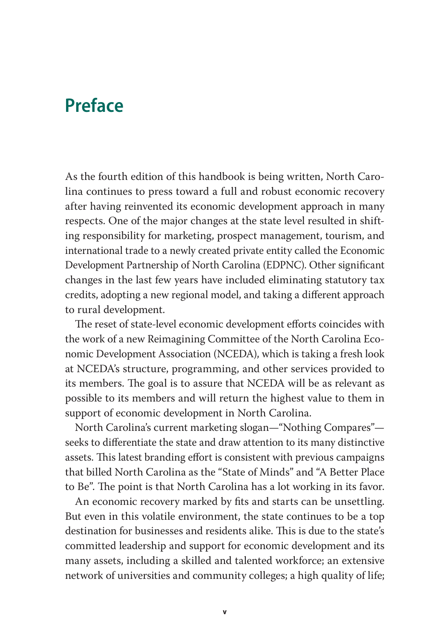# <span id="page-5-0"></span>**Preface**

As the fourth edition of this handbook is being written, North Carolina continues to press toward a full and robust economic recovery after having reinvented its economic development approach in many respects. One of the major changes at the state level resulted in shifting responsibility for marketing, prospect management, tourism, and international trade to a newly created private entity called the Economic Development Partnership of North Carolina (EDPNC). Other significant changes in the last few years have included eliminating statutory tax credits, adopting a new regional model, and taking a different approach to rural development.

The reset of state-level economic development efforts coincides with the work of a new Reimagining Committee of the North Carolina Economic Development Association (NCEDA), which is taking a fresh look at NCEDA's structure, programming, and other services provided to its members. The goal is to assure that NCEDA will be as relevant as possible to its members and will return the highest value to them in support of economic development in North Carolina.

North Carolina's current marketing slogan—"Nothing Compares" seeks to differentiate the state and draw attention to its many distinctive assets. This latest branding effort is consistent with previous campaigns that billed North Carolina as the "State of Minds" and "A Better Place to Be". The point is that North Carolina has a lot working in its favor.

An economic recovery marked by fits and starts can be unsettling. But even in this volatile environment, the state continues to be a top destination for businesses and residents alike. This is due to the state's committed leadership and support for economic development and its many assets, including a skilled and talented workforce; an extensive network of universities and community colleges; a high quality of life;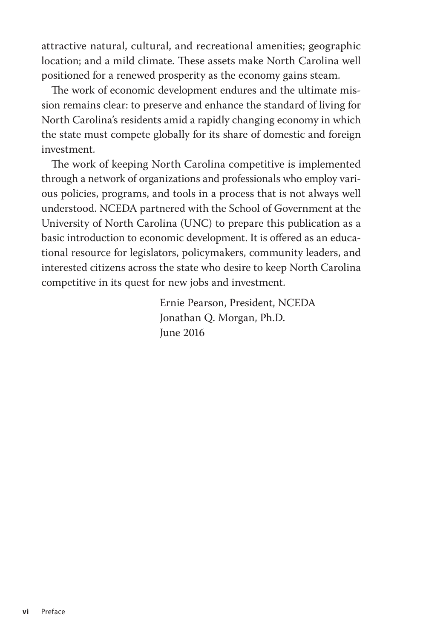attractive natural, cultural, and recreational amenities; geographic location; and a mild climate. These assets make North Carolina well positioned for a renewed prosperity as the economy gains steam.

The work of economic development endures and the ultimate mission remains clear: to preserve and enhance the standard of living for North Carolina's residents amid a rapidly changing economy in which the state must compete globally for its share of domestic and foreign investment.

The work of keeping North Carolina competitive is implemented through a network of organizations and professionals who employ various policies, programs, and tools in a process that is not always well understood. NCEDA partnered with the School of Government at the University of North Carolina (UNC) to prepare this publication as a basic introduction to economic development. It is offered as an educational resource for legislators, policymakers, community leaders, and interested citizens across the state who desire to keep North Carolina competitive in its quest for new jobs and investment.

> Ernie Pearson, President, NCEDA Jonathan Q. Morgan, Ph.D. June 2016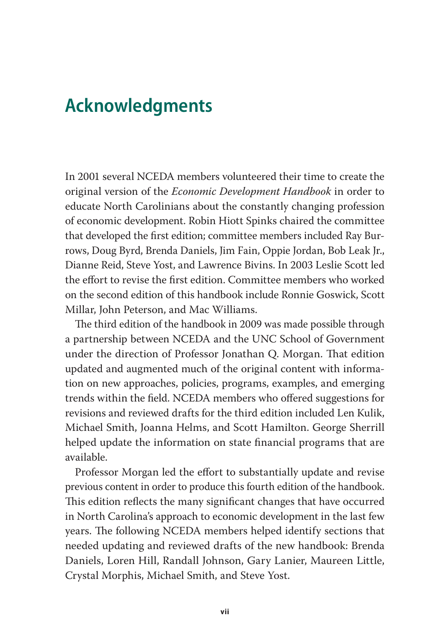# <span id="page-7-0"></span>**Acknowledgments**

In 2001 several NCEDA members volunteered their time to create the original version of the *Economic Development Handbook* in order to educate North Carolinians about the constantly changing profession of economic development. Robin Hiott Spinks chaired the committee that developed the first edition; committee members included Ray Burrows, Doug Byrd, Brenda Daniels, Jim Fain, Oppie Jordan, Bob Leak Jr., Dianne Reid, Steve Yost, and Lawrence Bivins. In 2003 Leslie Scott led the effort to revise the first edition. Committee members who worked on the second edition of this handbook include Ronnie Goswick, Scott Millar, John Peterson, and Mac Williams.

The third edition of the handbook in 2009 was made possible through a partnership between NCEDA and the UNC School of Government under the direction of Professor Jonathan Q. Morgan. That edition updated and augmented much of the original content with information on new approaches, policies, programs, examples, and emerging trends within the field. NCEDA members who offered suggestions for revisions and reviewed drafts for the third edition included Len Kulik, Michael Smith, Joanna Helms, and Scott Hamilton. George Sherrill helped update the information on state financial programs that are available.

Professor Morgan led the effort to substantially update and revise previous content in order to produce this fourth edition of the handbook. This edition reflects the many significant changes that have occurred in North Carolina's approach to economic development in the last few years. The following NCEDA members helped identify sections that needed updating and reviewed drafts of the new handbook: Brenda Daniels, Loren Hill, Randall Johnson, Gary Lanier, Maureen Little, Crystal Morphis, Michael Smith, and Steve Yost.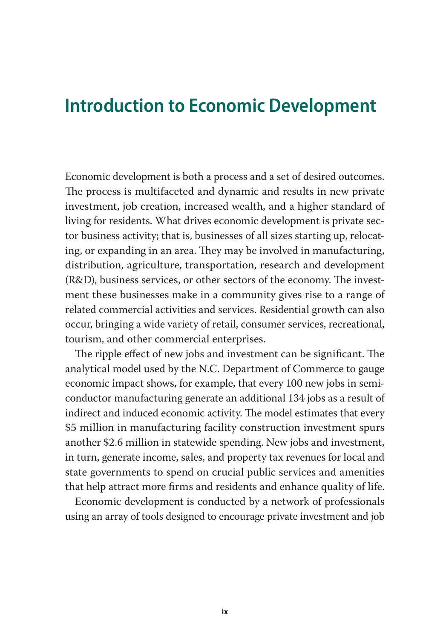# <span id="page-9-0"></span>**Introduction to Economic Development**

Economic development is both a process and a set of desired outcomes. The process is multifaceted and dynamic and results in new private investment, job creation, increased wealth, and a higher standard of living for residents. What drives economic development is private sector business activity; that is, businesses of all sizes starting up, relocating, or expanding in an area. They may be involved in manufacturing, distribution, agriculture, transportation, research and development (R&D), business services, or other sectors of the economy. The investment these businesses make in a community gives rise to a range of related commercial activities and services. Residential growth can also occur, bringing a wide variety of retail, consumer services, recreational, tourism, and other commercial enterprises.

The ripple effect of new jobs and investment can be significant. The analytical model used by the N.C. Department of Commerce to gauge economic impact shows, for example, that every 100 new jobs in semiconductor manufacturing generate an additional 134 jobs as a result of indirect and induced economic activity. The model estimates that every \$5 million in manufacturing facility construction investment spurs another \$2.6 million in statewide spending. New jobs and investment, in turn, generate income, sales, and property tax revenues for local and state governments to spend on crucial public services and amenities that help attract more firms and residents and enhance quality of life.

Economic development is conducted by a network of professionals using an array of tools designed to encourage private investment and job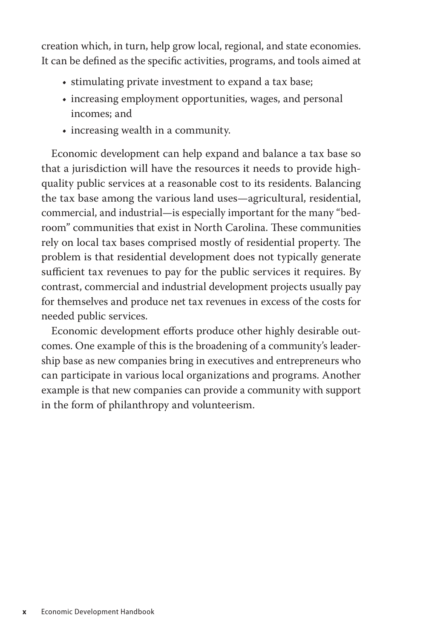creation which, in turn, help grow local, regional, and state economies. It can be defined as the specific activities, programs, and tools aimed at

- stimulating private investment to expand a tax base;
- increasing employment opportunities, wages, and personal incomes; and
- increasing wealth in a community.

Economic development can help expand and balance a tax base so that a jurisdiction will have the resources it needs to provide highquality public services at a reasonable cost to its residents. Balancing the tax base among the various land uses—agricultural, residential, commercial, and industrial—is especially important for the many "bedroom" communities that exist in North Carolina. These communities rely on local tax bases comprised mostly of residential property. The problem is that residential development does not typically generate sufficient tax revenues to pay for the public services it requires. By contrast, commercial and industrial development projects usually pay for themselves and produce net tax revenues in excess of the costs for needed public services.

Economic development efforts produce other highly desirable outcomes. One example of this is the broadening of a community's leadership base as new companies bring in executives and entrepreneurs who can participate in various local organizations and programs. Another example is that new companies can provide a community with support in the form of philanthropy and volunteerism.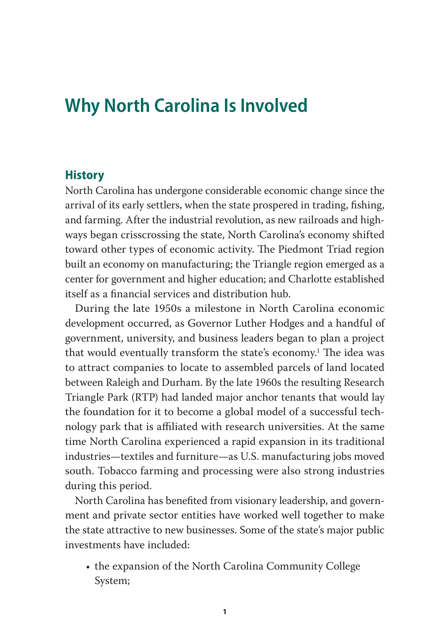# <span id="page-11-0"></span>**Why North Carolina Is Involved**

#### **History**

North Carolina has undergone considerable economic change since the arrival of its early settlers, when the state prospered in trading, fishing, and farming. After the industrial revolution, as new railroads and highways began crisscrossing the state, North Carolina's economy shifted toward other types of economic activity. The Piedmont Triad region built an economy on manufacturing; the Triangle region emerged as a center for government and higher education; and Charlotte established itself as a financial services and distribution hub.

During the late 1950s a milestone in North Carolina economic development occurred, as Governor Luther Hodges and a handful of government, university, and business leaders began to plan a project that would eventually transform the state's economy.1 The idea was to attract companies to locate to assembled parcels of land located between Raleigh and Durham. By the late 1960s the resulting Research Triangle Park (RTP) had landed major anchor tenants that would lay the foundation for it to become a global model of a successful technology park that is affiliated with research universities. At the same time North Carolina experienced a rapid expansion in its traditional industries—textiles and furniture—as U.S. manufacturing jobs moved south. Tobacco farming and processing were also strong industries during this period.

North Carolina has benefited from visionary leadership, and government and private sector entities have worked well together to make the state attractive to new businesses. Some of the state's major public investments have included:

• the expansion of the North Carolina Community College System;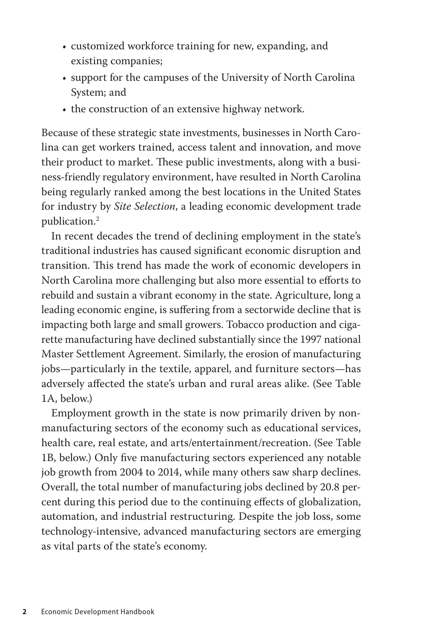- customized workforce training for new, expanding, and existing companies;
- support for the campuses of the University of North Carolina System; and
- the construction of an extensive highway network.

Because of these strategic state investments, businesses in North Carolina can get workers trained, access talent and innovation, and move their product to market. These public investments, along with a business-friendly regulatory environment, have resulted in North Carolina being regularly ranked among the best locations in the United States for industry by *Site Selection*, a leading economic development trade publication.2

In recent decades the trend of declining employment in the state's traditional industries has caused significant economic disruption and transition. This trend has made the work of economic developers in North Carolina more challenging but also more essential to efforts to rebuild and sustain a vibrant economy in the state. Agriculture, long a leading economic engine, is suffering from a sectorwide decline that is impacting both large and small growers. Tobacco production and cigarette manufacturing have declined substantially since the 1997 national Master Settlement Agreement. Similarly, the erosion of manufacturing jobs—particularly in the textile, apparel, and furniture sectors—has adversely affected the state's urban and rural areas alike. (See Table 1A, below.)

Employment growth in the state is now primarily driven by nonmanufacturing sectors of the economy such as educational services, health care, real estate, and arts/entertainment/recreation. (See Table 1B, below.) Only five manufacturing sectors experienced any notable job growth from 2004 to 2014, while many others saw sharp declines. Overall, the total number of manufacturing jobs declined by 20.8 percent during this period due to the continuing effects of globalization, automation, and industrial restructuring. Despite the job loss, some technology-intensive, advanced manufacturing sectors are emerging as vital parts of the state's economy.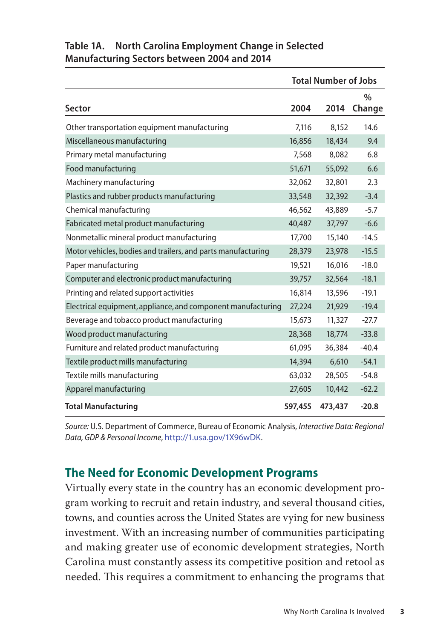<span id="page-13-0"></span>

| Table 1A. North Carolina Employment Change in Selected |
|--------------------------------------------------------|
| <b>Manufacturing Sectors between 2004 and 2014</b>     |

|                                                              | <b>Total Number of Jobs</b> |         |                         |
|--------------------------------------------------------------|-----------------------------|---------|-------------------------|
| <b>Sector</b>                                                | 2004                        | 2014    | $\frac{0}{0}$<br>Change |
| Other transportation equipment manufacturing                 | 7,116                       | 8.152   | 14.6                    |
| Miscellaneous manufacturing                                  | 16,856                      | 18,434  | 9.4                     |
| Primary metal manufacturing                                  | 7,568                       | 8.082   | 6.8                     |
| Food manufacturing                                           | 51,671                      | 55,092  | 6.6                     |
| Machinery manufacturing                                      | 32,062                      | 32,801  | 2.3                     |
| Plastics and rubber products manufacturing                   | 33,548                      | 32,392  | $-3.4$                  |
| Chemical manufacturing                                       | 46,562                      | 43,889  | $-5.7$                  |
| Fabricated metal product manufacturing                       | 40,487                      | 37,797  | $-6.6$                  |
| Nonmetallic mineral product manufacturing                    | 17,700                      | 15,140  | $-14.5$                 |
| Motor vehicles, bodies and trailers, and parts manufacturing | 28,379                      | 23,978  | $-15.5$                 |
| Paper manufacturing                                          | 19,521                      | 16,016  | $-18.0$                 |
| Computer and electronic product manufacturing                | 39,757                      | 32,564  | $-18.1$                 |
| Printing and related support activities                      | 16,814                      | 13,596  | $-19.1$                 |
| Electrical equipment, appliance, and component manufacturing | 27,224                      | 21,929  | $-19.4$                 |
| Beverage and tobacco product manufacturing                   | 15,673                      | 11,327  | $-27.7$                 |
| Wood product manufacturing                                   | 28,368                      | 18,774  | $-33.8$                 |
| Furniture and related product manufacturing                  | 61,095                      | 36,384  | $-40.4$                 |
| Textile product mills manufacturing                          | 14,394                      | 6,610   | $-54.1$                 |
| Textile mills manufacturing                                  | 63,032                      | 28,505  | $-54.8$                 |
| Apparel manufacturing                                        | 27,605                      | 10,442  | $-62.2$                 |
| <b>Total Manufacturing</b>                                   | 597,455                     | 473,437 | $-20.8$                 |

*Source:* U.S. Department of Commerce, Bureau of Economic Analysis, *Interactive Data: Regional Data, GDP & Personal Income*, <http://1.usa.gov/1X96wDK>.

#### **The Need for Economic Development Programs**

Virtually every state in the country has an economic development program working to recruit and retain industry, and several thousand cities, towns, and counties across the United States are vying for new business investment. With an increasing number of communities participating and making greater use of economic development strategies, North Carolina must constantly assess its competitive position and retool as needed. This requires a commitment to enhancing the programs that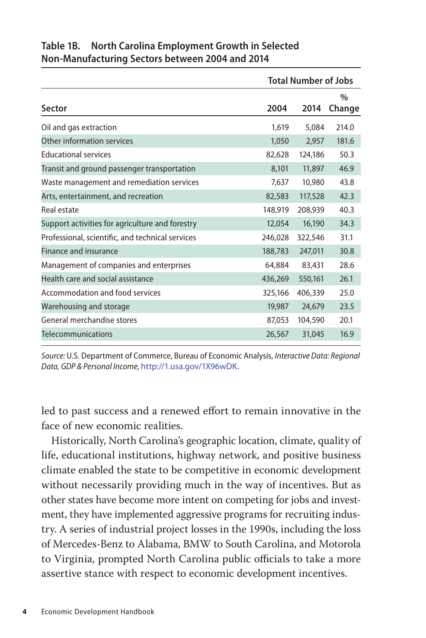|                                                  | <b>Total Number of Jobs</b> |         |                         |
|--------------------------------------------------|-----------------------------|---------|-------------------------|
| <b>Sector</b>                                    | 2004                        | 2014    | $\frac{0}{0}$<br>Change |
| Oil and gas extraction                           | 1,619                       | 5,084   | 214.0                   |
| Other information services                       | 1,050                       | 2,957   | 181.6                   |
| <b>Educational services</b>                      | 82,628                      | 124,186 | 50.3                    |
| Transit and ground passenger transportation      | 8,101                       | 11,897  | 46.9                    |
| Waste management and remediation services        | 7,637                       | 10,980  | 43.8                    |
| Arts, entertainment, and recreation              | 82,583                      | 117,528 | 42.3                    |
| Real estate                                      | 148,919                     | 208,939 | 40.3                    |
| Support activities for agriculture and forestry  | 12,054                      | 16,190  | 34.3                    |
| Professional, scientific, and technical services | 246,028                     | 322,546 | 31.1                    |
| Finance and insurance                            | 188,783                     | 247,011 | 30.8                    |
| Management of companies and enterprises          | 64,884                      | 83,431  | 28.6                    |
| Health care and social assistance                | 436,269                     | 550,161 | 26.1                    |
| Accommodation and food services                  | 325,166                     | 406,339 | 25.0                    |
| Warehousing and storage                          | 19,987                      | 24,679  | 23.5                    |
| General merchandise stores                       | 87,053                      | 104,590 | 20.1                    |
| Telecommunications                               | 26,567                      | 31,045  | 16.9                    |

#### **Table 1B. North Carolina Employment Growth in Selected Non-Manufacturing Sectors between 2004 and 2014**

*Source:* U.S. Department of Commerce, Bureau of Economic Analysis, *Interactive Data: Regional Data, GDP & Personal Income*, <http://1.usa.gov/1X96wDK>.

led to past success and a renewed effort to remain innovative in the face of new economic realities.

Historically, North Carolina's geographic location, climate, quality of life, educational institutions, highway network, and positive business climate enabled the state to be competitive in economic development without necessarily providing much in the way of incentives. But as other states have become more intent on competing for jobs and investment, they have implemented aggressive programs for recruiting industry. A series of industrial project losses in the 1990s, including the loss of Mercedes-Benz to Alabama, BMW to South Carolina, and Motorola to Virginia, prompted North Carolina public officials to take a more assertive stance with respect to economic development incentives.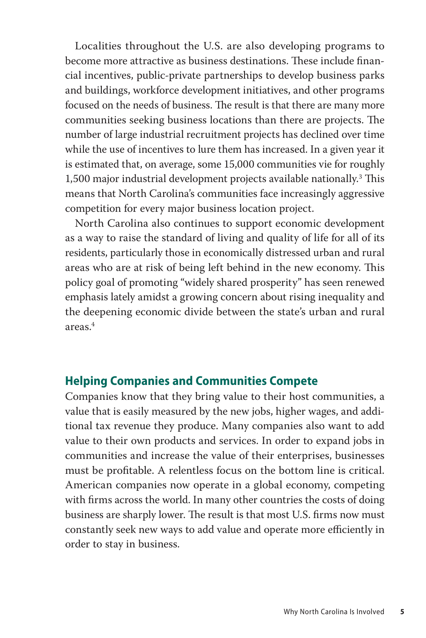<span id="page-15-0"></span>Localities throughout the U.S. are also developing programs to become more attractive as business destinations. These include financial incentives, public-private partnerships to develop business parks and buildings, workforce development initiatives, and other programs focused on the needs of business. The result is that there are many more communities seeking business locations than there are projects. The number of large industrial recruitment projects has declined over time while the use of incentives to lure them has increased. In a given year it is estimated that, on average, some 15,000 communities vie for roughly 1,500 major industrial development projects available nationally.3 This means that North Carolina's communities face increasingly aggressive competition for every major business location project.

North Carolina also continues to support economic development as a way to raise the standard of living and quality of life for all of its residents, particularly those in economically distressed urban and rural areas who are at risk of being left behind in the new economy. This policy goal of promoting "widely shared prosperity" has seen renewed emphasis lately amidst a growing concern about rising inequality and the deepening economic divide between the state's urban and rural areas $4$ 

#### **Helping Companies and Communities Compete**

Companies know that they bring value to their host communities, a value that is easily measured by the new jobs, higher wages, and additional tax revenue they produce. Many companies also want to add value to their own products and services. In order to expand jobs in communities and increase the value of their enterprises, businesses must be profitable. A relentless focus on the bottom line is critical. American companies now operate in a global economy, competing with firms across the world. In many other countries the costs of doing business are sharply lower. The result is that most U.S. firms now must constantly seek new ways to add value and operate more efficiently in order to stay in business.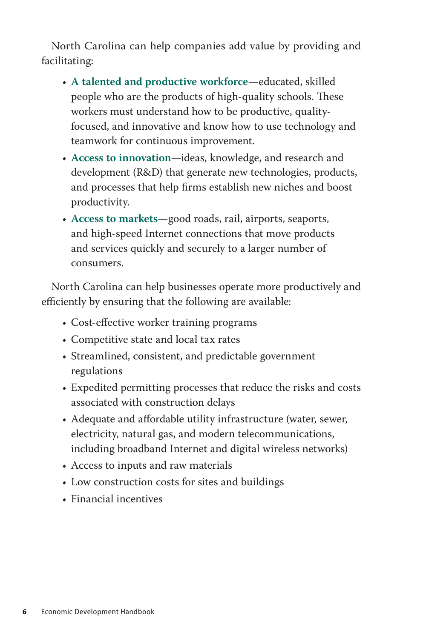North Carolina can help companies add value by providing and facilitating:

- **A talented and productive workforce**—educated, skilled people who are the products of high-quality schools. These workers must understand how to be productive, qualityfocused, and innovative and know how to use technology and teamwork for continuous improvement.
- **Access to innovation**—ideas, knowledge, and research and development (R&D) that generate new technologies, products, and processes that help firms establish new niches and boost productivity.
- **Access to markets**—good roads, rail, airports, seaports, and high-speed Internet connections that move products and services quickly and securely to a larger number of consumers.

North Carolina can help businesses operate more productively and efficiently by ensuring that the following are available:

- Cost-effective worker training programs
- Competitive state and local tax rates
- Streamlined, consistent, and predictable government regulations
- Expedited permitting processes that reduce the risks and costs associated with construction delays
- Adequate and affordable utility infrastructure (water, sewer, electricity, natural gas, and modern telecommunications, including broadband Internet and digital wireless networks)
- Access to inputs and raw materials
- Low construction costs for sites and buildings
- Financial incentives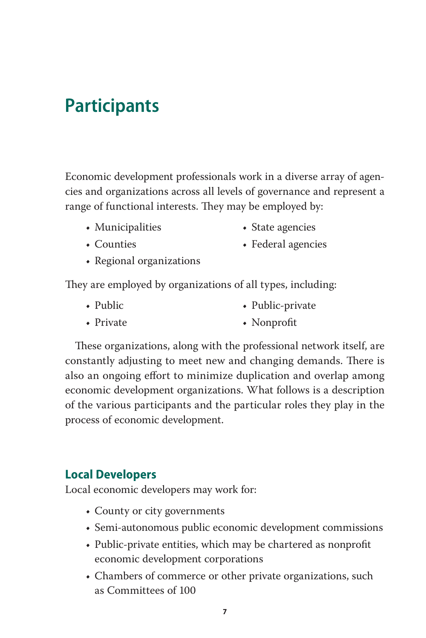# <span id="page-17-0"></span>**Participants**

Economic development professionals work in a diverse array of agencies and organizations across all levels of governance and represent a range of functional interests. They may be employed by:

- Municipalities State agencies
	-

- 
- Counties Federal agencies
- Regional organizations

They are employed by organizations of all types, including:

- Public Public-private
- Private Nonprofit

These organizations, along with the professional network itself, are constantly adjusting to meet new and changing demands. There is also an ongoing effort to minimize duplication and overlap among economic development organizations. What follows is a description of the various participants and the particular roles they play in the process of economic development.

#### **Local Developers**

Local economic developers may work for:

- County or city governments
- Semi-autonomous public economic development commissions
- Public-private entities, which may be chartered as nonprofit economic development corporations
- Chambers of commerce or other private organizations, such as Committees of 100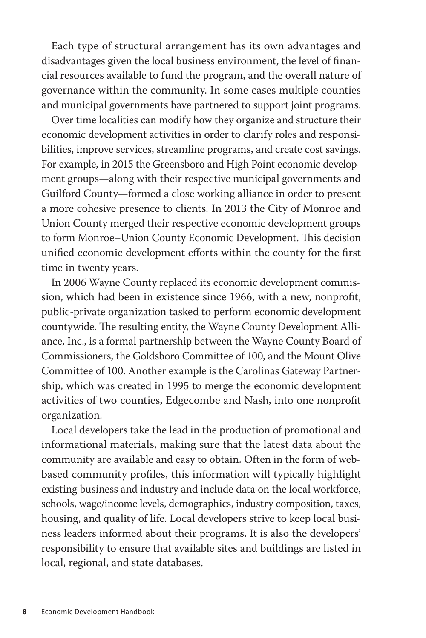Each type of structural arrangement has its own advantages and disadvantages given the local business environment, the level of financial resources available to fund the program, and the overall nature of governance within the community. In some cases multiple counties and municipal governments have partnered to support joint programs.

Over time localities can modify how they organize and structure their economic development activities in order to clarify roles and responsibilities, improve services, streamline programs, and create cost savings. For example, in 2015 the Greensboro and High Point economic development groups—along with their respective municipal governments and Guilford County—formed a close working alliance in order to present a more cohesive presence to clients. In 2013 the City of Monroe and Union County merged their respective economic development groups to form Monroe–Union County Economic Development. This decision unified economic development efforts within the county for the first time in twenty years.

In 2006 Wayne County replaced its economic development commission, which had been in existence since 1966, with a new, nonprofit, public-private organization tasked to perform economic development countywide. The resulting entity, the Wayne County Development Alliance, Inc., is a formal partnership between the Wayne County Board of Commissioners, the Goldsboro Committee of 100, and the Mount Olive Committee of 100. Another example is the Carolinas Gateway Partnership, which was created in 1995 to merge the economic development activities of two counties, Edgecombe and Nash, into one nonprofit organization.

Local developers take the lead in the production of promotional and informational materials, making sure that the latest data about the community are available and easy to obtain. Often in the form of webbased community profiles, this information will typically highlight existing business and industry and include data on the local workforce, schools, wage/income levels, demographics, industry composition, taxes, housing, and quality of life. Local developers strive to keep local business leaders informed about their programs. It is also the developers' responsibility to ensure that available sites and buildings are listed in local, regional, and state databases.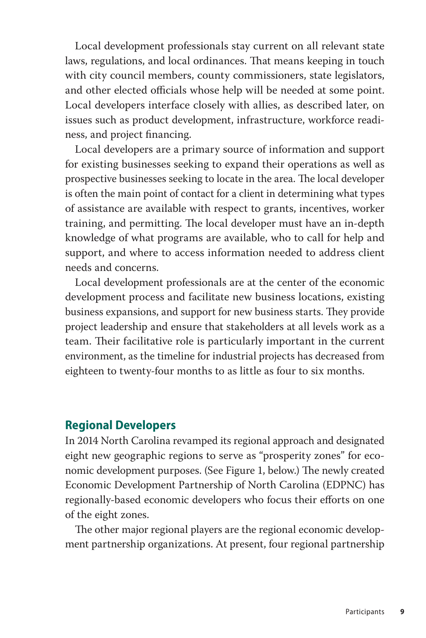<span id="page-19-0"></span>Local development professionals stay current on all relevant state laws, regulations, and local ordinances. That means keeping in touch with city council members, county commissioners, state legislators, and other elected officials whose help will be needed at some point. Local developers interface closely with allies, as described later, on issues such as product development, infrastructure, workforce readiness, and project financing.

Local developers are a primary source of information and support for existing businesses seeking to expand their operations as well as prospective businesses seeking to locate in the area. The local developer is often the main point of contact for a client in determining what types of assistance are available with respect to grants, incentives, worker training, and permitting. The local developer must have an in-depth knowledge of what programs are available, who to call for help and support, and where to access information needed to address client needs and concerns.

Local development professionals are at the center of the economic development process and facilitate new business locations, existing business expansions, and support for new business starts. They provide project leadership and ensure that stakeholders at all levels work as a team. Their facilitative role is particularly important in the current environment, as the timeline for industrial projects has decreased from eighteen to twenty-four months to as little as four to six months.

#### **Regional Developers**

In 2014 North Carolina revamped its regional approach and designated eight new geographic regions to serve as "prosperity zones" for economic development purposes. (See Figure 1, below.) The newly created Economic Development Partnership of North Carolina (EDPNC) has regionally-based economic developers who focus their efforts on one of the eight zones.

The other major regional players are the regional economic development partnership organizations. At present, four regional partnership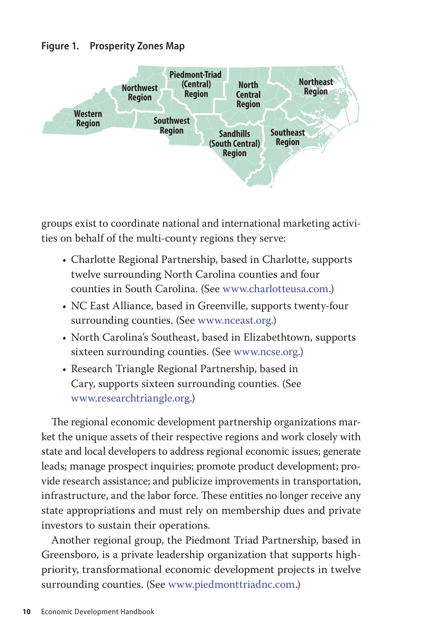



groups exist to coordinate national and international marketing activities on behalf of the multi-county regions they serve:

- Charlotte Regional Partnership, based in Charlotte, supports twelve surrounding North Carolina counties and four counties in South Carolina. (See [www.charlotteusa.com](http://www.charlotteusa.com).)
- NC East Alliance, based in Greenville, supports twenty-four surrounding counties. (See [www.nceast.org.](http://www.nceast.org))
- North Carolina's Southeast, based in Elizabethtown, supports sixteen surrounding counties. (See [www.ncse.org](http://www.ncse.org).)
- Research Triangle Regional Partnership, based in Cary, supports sixteen surrounding counties. (See [www.researchtriangle.org](http://www.researchtriangle.org).)

The regional economic development partnership organizations market the unique assets of their respective regions and work closely with state and local developers to address regional economic issues; generate leads; manage prospect inquiries; promote product development; provide research assistance; and publicize improvements in transportation, infrastructure, and the labor force. These entities no longer receive any state appropriations and must rely on membership dues and private investors to sustain their operations.

Another regional group, the Piedmont Triad Partnership, based in Greensboro, is a private leadership organization that supports highpriority, transformational economic development projects in twelve surrounding counties. (See [www.piedmonttriadnc.com](http://www.piedmonttriadnc.com).)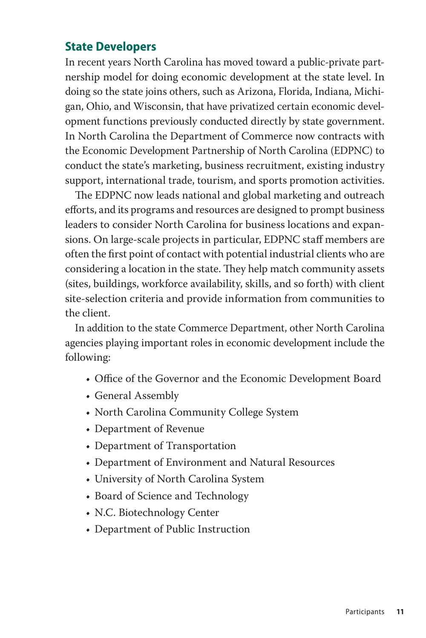#### <span id="page-21-0"></span>**State Developers**

In recent years North Carolina has moved toward a public-private partnership model for doing economic development at the state level. In doing so the state joins others, such as Arizona, Florida, Indiana, Michigan, Ohio, and Wisconsin, that have privatized certain economic development functions previously conducted directly by state government. In North Carolina the Department of Commerce now contracts with the Economic Development Partnership of North Carolina (EDPNC) to conduct the state's marketing, business recruitment, existing industry support, international trade, tourism, and sports promotion activities.

The EDPNC now leads national and global marketing and outreach efforts, and its programs and resources are designed to prompt business leaders to consider North Carolina for business locations and expansions. On large-scale projects in particular, EDPNC staff members are often the first point of contact with potential industrial clients who are considering a location in the state. They help match community assets (sites, buildings, workforce availability, skills, and so forth) with client site-selection criteria and provide information from communities to the client.

In addition to the state Commerce Department, other North Carolina agencies playing important roles in economic development include the following:

- Office of the Governor and the Economic Development Board
- General Assembly
- North Carolina Community College System
- Department of Revenue
- Department of Transportation
- Department of Environment and Natural Resources
- University of North Carolina System
- Board of Science and Technology
- N.C. Biotechnology Center
- Department of Public Instruction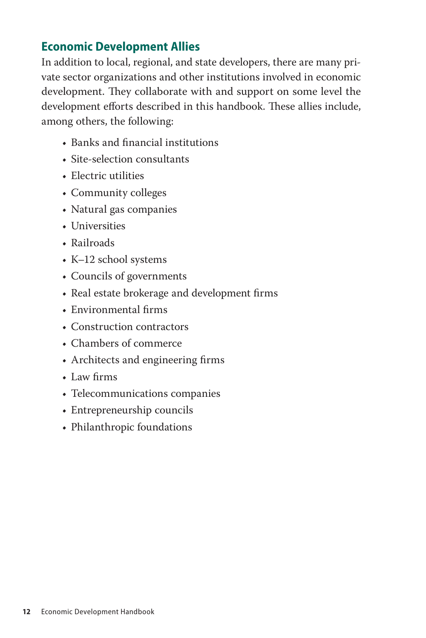#### <span id="page-22-0"></span>**Economic Development Allies**

In addition to local, regional, and state developers, there are many private sector organizations and other institutions involved in economic development. They collaborate with and support on some level the development efforts described in this handbook. These allies include, among others, the following:

- Banks and financial institutions
- Site-selection consultants
- Electric utilities
- Community colleges
- Natural gas companies
- Universities
- Railroads
- K–12 school systems
- Councils of governments
- Real estate brokerage and development firms
- Environmental firms
- Construction contractors
- Chambers of commerce
- Architects and engineering firms
- Law firms
- Telecommunications companies
- Entrepreneurship councils
- Philanthropic foundations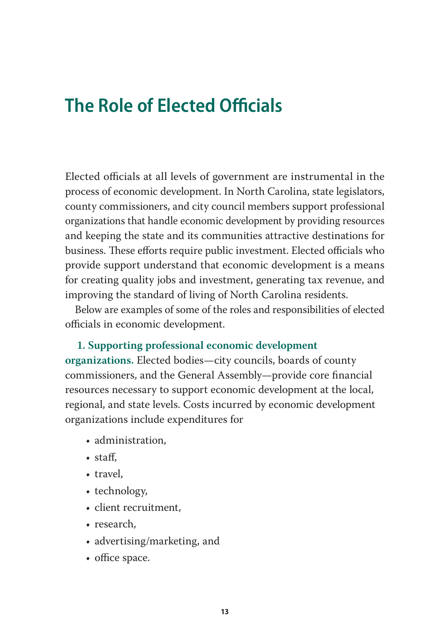# <span id="page-23-0"></span>**The Role of Elected Officials**

Elected officials at all levels of government are instrumental in the process of economic development. In North Carolina, state legislators, county commissioners, and city council members support professional organizations that handle economic development by providing resources and keeping the state and its communities attractive destinations for business. These efforts require public investment. Elected officials who provide support understand that economic development is a means for creating quality jobs and investment, generating tax revenue, and improving the standard of living of North Carolina residents.

Below are examples of some of the roles and responsibilities of elected officials in economic development.

#### **1. Supporting professional economic development**

**organizations.** Elected bodies—city councils, boards of county commissioners, and the General Assembly—provide core financial resources necessary to support economic development at the local, regional, and state levels. Costs incurred by economic development organizations include expenditures for

- administration,
- $\bullet$  staff,
- travel,
- technology,
- client recruitment,
- research,
- advertising/marketing, and
- office space.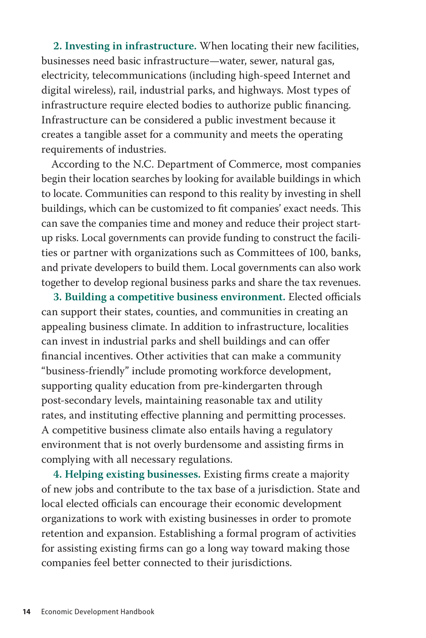**2. Investing in infrastructure.** When locating their new facilities, businesses need basic infrastructure—water, sewer, natural gas, electricity, telecommunications (including high-speed Internet and digital wireless), rail, industrial parks, and highways. Most types of infrastructure require elected bodies to authorize public financing. Infrastructure can be considered a public investment because it creates a tangible asset for a community and meets the operating requirements of industries.

According to the N.C. Department of Commerce, most companies begin their location searches by looking for available buildings in which to locate. Communities can respond to this reality by investing in shell buildings, which can be customized to fit companies' exact needs. This can save the companies time and money and reduce their project startup risks. Local governments can provide funding to construct the facilities or partner with organizations such as Committees of 100, banks, and private developers to build them. Local governments can also work together to develop regional business parks and share the tax revenues.

**3. Building a competitive business environment.** Elected officials can support their states, counties, and communities in creating an appealing business climate. In addition to infrastructure, localities can invest in industrial parks and shell buildings and can offer financial incentives. Other activities that can make a community "business-friendly" include promoting workforce development, supporting quality education from pre-kindergarten through post-secondary levels, maintaining reasonable tax and utility rates, and instituting effective planning and permitting processes. A competitive business climate also entails having a regulatory environment that is not overly burdensome and assisting firms in complying with all necessary regulations.

**4. Helping existing businesses.** Existing firms create a majority of new jobs and contribute to the tax base of a jurisdiction. State and local elected officials can encourage their economic development organizations to work with existing businesses in order to promote retention and expansion. Establishing a formal program of activities for assisting existing firms can go a long way toward making those companies feel better connected to their jurisdictions.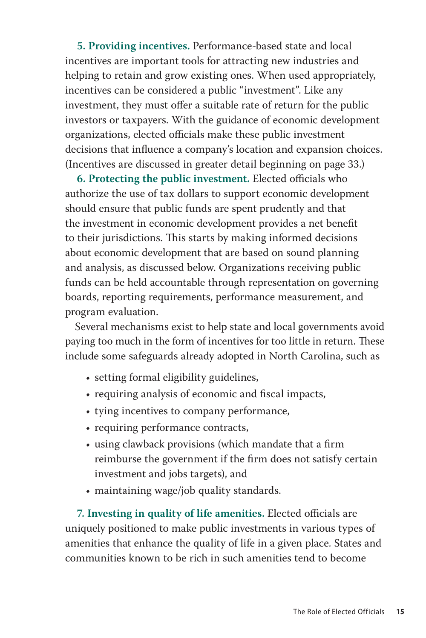**5. Providing incentives.** Performance-based state and local incentives are important tools for attracting new industries and helping to retain and grow existing ones. When used appropriately, incentives can be considered a public "investment". Like any investment, they must offer a suitable rate of return for the public investors or taxpayers. With the guidance of economic development organizations, elected officials make these public investment decisions that influence a company's location and expansion choices. (Incentives are discussed in greater detail beginning on page 33.)

**6. Protecting the public investment.** Elected officials who authorize the use of tax dollars to support economic development should ensure that public funds are spent prudently and that the investment in economic development provides a net benefit to their jurisdictions. This starts by making informed decisions about economic development that are based on sound planning and analysis, as discussed below. Organizations receiving public funds can be held accountable through representation on governing boards, reporting requirements, performance measurement, and program evaluation.

Several mechanisms exist to help state and local governments avoid paying too much in the form of incentives for too little in return. These include some safeguards already adopted in North Carolina, such as

- setting formal eligibility guidelines,
- requiring analysis of economic and fiscal impacts,
- tying incentives to company performance,
- requiring performance contracts,
- using clawback provisions (which mandate that a firm reimburse the government if the firm does not satisfy certain investment and jobs targets), and
- maintaining wage/job quality standards.

**7. Investing in quality of life amenities.** Elected officials are uniquely positioned to make public investments in various types of amenities that enhance the quality of life in a given place. States and communities known to be rich in such amenities tend to become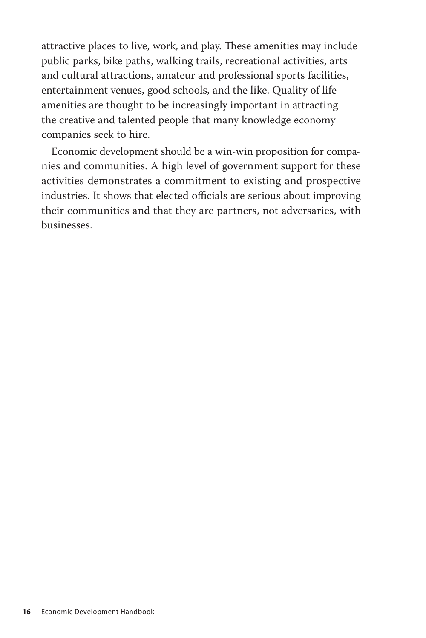attractive places to live, work, and play. These amenities may include public parks, bike paths, walking trails, recreational activities, arts and cultural attractions, amateur and professional sports facilities, entertainment venues, good schools, and the like. Quality of life amenities are thought to be increasingly important in attracting the creative and talented people that many knowledge economy companies seek to hire.

Economic development should be a win-win proposition for companies and communities. A high level of government support for these activities demonstrates a commitment to existing and prospective industries. It shows that elected officials are serious about improving their communities and that they are partners, not adversaries, with businesses.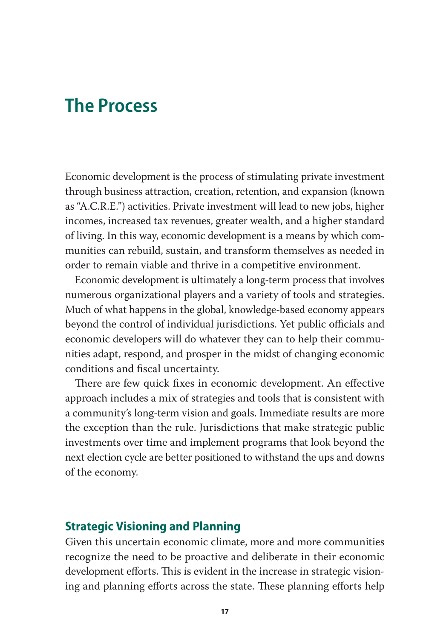# <span id="page-27-0"></span>**The Process**

Economic development is the process of stimulating private investment through business attraction, creation, retention, and expansion (known as "A.C.R.E.") activities. Private investment will lead to new jobs, higher incomes, increased tax revenues, greater wealth, and a higher standard of living. In this way, economic development is a means by which communities can rebuild, sustain, and transform themselves as needed in order to remain viable and thrive in a competitive environment.

Economic development is ultimately a long-term process that involves numerous organizational players and a variety of tools and strategies. Much of what happens in the global, knowledge-based economy appears beyond the control of individual jurisdictions. Yet public officials and economic developers will do whatever they can to help their communities adapt, respond, and prosper in the midst of changing economic conditions and fiscal uncertainty.

There are few quick fixes in economic development. An effective approach includes a mix of strategies and tools that is consistent with a community's long-term vision and goals. Immediate results are more the exception than the rule. Jurisdictions that make strategic public investments over time and implement programs that look beyond the next election cycle are better positioned to withstand the ups and downs of the economy.

#### **Strategic Visioning and Planning**

Given this uncertain economic climate, more and more communities recognize the need to be proactive and deliberate in their economic development efforts. This is evident in the increase in strategic visioning and planning efforts across the state. These planning efforts help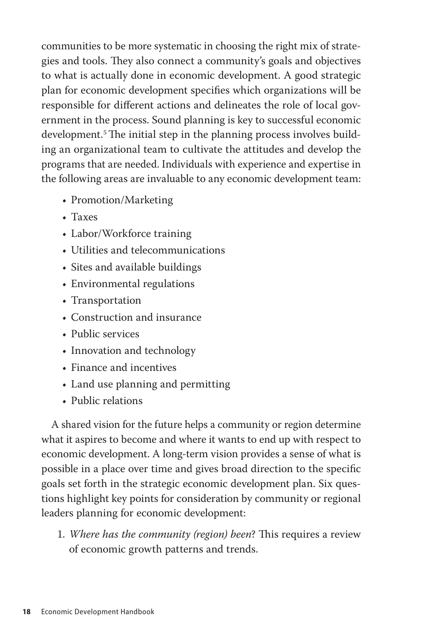communities to be more systematic in choosing the right mix of strategies and tools. They also connect a community's goals and objectives to what is actually done in economic development. A good strategic plan for economic development specifies which organizations will be responsible for different actions and delineates the role of local government in the process. Sound planning is key to successful economic development.<sup>5</sup> The initial step in the planning process involves building an organizational team to cultivate the attitudes and develop the programs that are needed. Individuals with experience and expertise in the following areas are invaluable to any economic development team:

- Promotion/Marketing
- Taxes
- Labor/Workforce training
- Utilities and telecommunications
- Sites and available buildings
- Environmental regulations
- Transportation
- Construction and insurance
- Public services
- Innovation and technology
- Finance and incentives
- Land use planning and permitting
- Public relations

A shared vision for the future helps a community or region determine what it aspires to become and where it wants to end up with respect to economic development. A long-term vision provides a sense of what is possible in a place over time and gives broad direction to the specific goals set forth in the strategic economic development plan. Six questions highlight key points for consideration by community or regional leaders planning for economic development:

1. *Where has the community (region) been*? This requires a review of economic growth patterns and trends.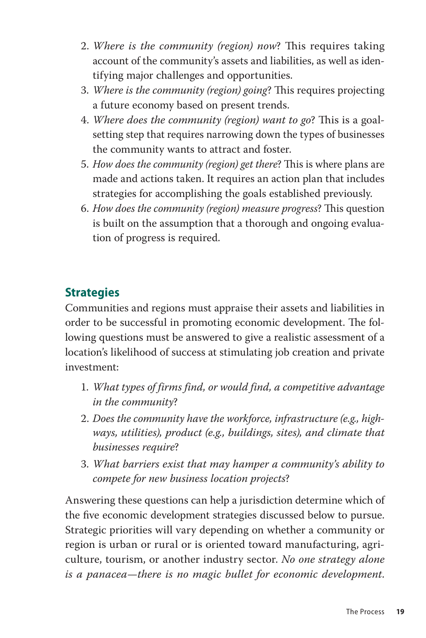- <span id="page-29-0"></span>2. *Where is the community (region) now*? This requires taking account of the community's assets and liabilities, as well as identifying major challenges and opportunities.
- 3. *Where is the community (region) going*? This requires projecting a future economy based on present trends.
- 4. *Where does the community (region) want to go*? This is a goalsetting step that requires narrowing down the types of businesses the community wants to attract and foster.
- 5. *How does the community (region) get there*? This is where plans are made and actions taken. It requires an action plan that includes strategies for accomplishing the goals established previously.
- 6. *How does the community (region) measure progress*? This question is built on the assumption that a thorough and ongoing evaluation of progress is required.

#### **Strategies**

Communities and regions must appraise their assets and liabilities in order to be successful in promoting economic development. The following questions must be answered to give a realistic assessment of a location's likelihood of success at stimulating job creation and private investment:

- 1. *What types of firms find, or would find, a competitive advantage in the community*?
- 2. *Does the community have the workforce, infrastructure (e.g., highways, utilities), product (e.g., buildings, sites), and climate that businesses require*?
- 3. *What barriers exist that may hamper a community's ability to compete for new business location projects*?

Answering these questions can help a jurisdiction determine which of the five economic development strategies discussed below to pursue. Strategic priorities will vary depending on whether a community or region is urban or rural or is oriented toward manufacturing, agriculture, tourism, or another industry sector. *No one strategy alone is a panacea—there is no magic bullet for economic development*.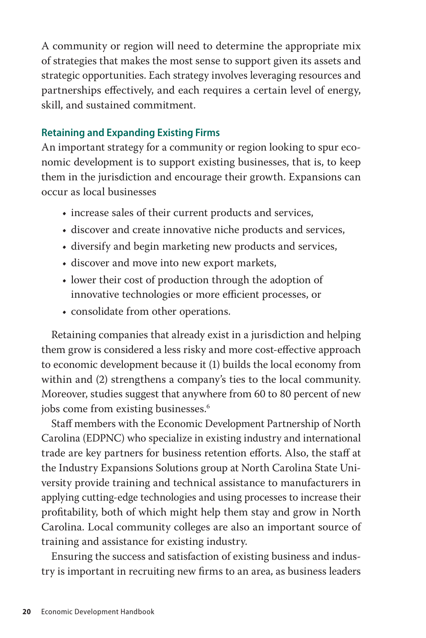<span id="page-30-0"></span>A community or region will need to determine the appropriate mix of strategies that makes the most sense to support given its assets and strategic opportunities. Each strategy involves leveraging resources and partnerships effectively, and each requires a certain level of energy, skill, and sustained commitment.

#### **Retaining and Expanding Existing Firms**

An important strategy for a community or region looking to spur economic development is to support existing businesses, that is, to keep them in the jurisdiction and encourage their growth. Expansions can occur as local businesses

- increase sales of their current products and services,
- discover and create innovative niche products and services,
- diversify and begin marketing new products and services,
- discover and move into new export markets,
- lower their cost of production through the adoption of innovative technologies or more efficient processes, or
- consolidate from other operations.

Retaining companies that already exist in a jurisdiction and helping them grow is considered a less risky and more cost-effective approach to economic development because it (1) builds the local economy from within and (2) strengthens a company's ties to the local community. Moreover, studies suggest that anywhere from 60 to 80 percent of new jobs come from existing businesses.<sup>6</sup>

Staff members with the Economic Development Partnership of North Carolina (EDPNC) who specialize in existing industry and international trade are key partners for business retention efforts. Also, the staff at the Industry Expansions Solutions group at North Carolina State University provide training and technical assistance to manufacturers in applying cutting-edge technologies and using processes to increase their profitability, both of which might help them stay and grow in North Carolina. Local community colleges are also an important source of training and assistance for existing industry.

Ensuring the success and satisfaction of existing business and industry is important in recruiting new firms to an area, as business leaders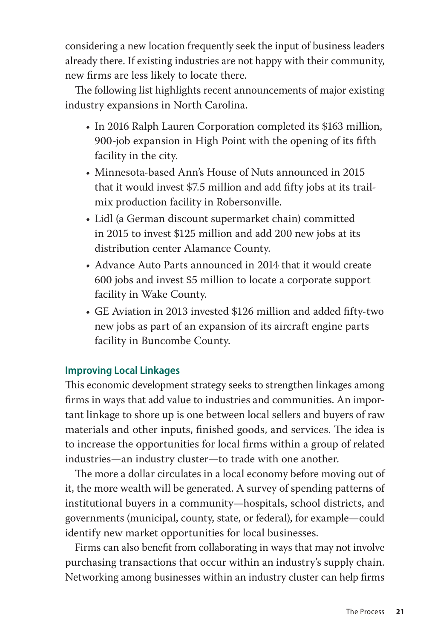<span id="page-31-0"></span>considering a new location frequently seek the input of business leaders already there. If existing industries are not happy with their community, new firms are less likely to locate there.

The following list highlights recent announcements of major existing industry expansions in North Carolina.

- In 2016 Ralph Lauren Corporation completed its \$163 million, 900-job expansion in High Point with the opening of its fifth facility in the city.
- Minnesota-based Ann's House of Nuts announced in 2015 that it would invest \$7.5 million and add fifty jobs at its trailmix production facility in Robersonville.
- Lidl (a German discount supermarket chain) committed in 2015 to invest \$125 million and add 200 new jobs at its distribution center Alamance County.
- Advance Auto Parts announced in 2014 that it would create 600 jobs and invest \$5 million to locate a corporate support facility in Wake County.
- GE Aviation in 2013 invested \$126 million and added fifty-two new jobs as part of an expansion of its aircraft engine parts facility in Buncombe County.

#### **Improving Local Linkages**

This economic development strategy seeks to strengthen linkages among firms in ways that add value to industries and communities. An important linkage to shore up is one between local sellers and buyers of raw materials and other inputs, finished goods, and services. The idea is to increase the opportunities for local firms within a group of related industries—an industry cluster—to trade with one another.

The more a dollar circulates in a local economy before moving out of it, the more wealth will be generated. A survey of spending patterns of institutional buyers in a community—hospitals, school districts, and governments (municipal, county, state, or federal), for example—could identify new market opportunities for local businesses.

Firms can also benefit from collaborating in ways that may not involve purchasing transactions that occur within an industry's supply chain. Networking among businesses within an industry cluster can help firms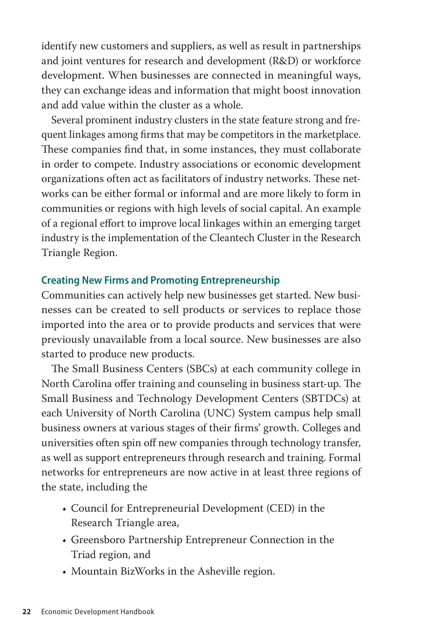<span id="page-32-0"></span>identify new customers and suppliers, as well as result in partnerships and joint ventures for research and development (R&D) or workforce development. When businesses are connected in meaningful ways, they can exchange ideas and information that might boost innovation and add value within the cluster as a whole.

Several prominent industry clusters in the state feature strong and frequent linkages among firms that may be competitors in the marketplace. These companies find that, in some instances, they must collaborate in order to compete. Industry associations or economic development organizations often act as facilitators of industry networks. These networks can be either formal or informal and are more likely to form in communities or regions with high levels of social capital. An example of a regional effort to improve local linkages within an emerging target industry is the implementation of the Cleantech Cluster in the Research Triangle Region.

#### **Creating New Firms and Promoting Entrepreneurship**

Communities can actively help new businesses get started. New businesses can be created to sell products or services to replace those imported into the area or to provide products and services that were previously unavailable from a local source. New businesses are also started to produce new products.

The Small Business Centers (SBCs) at each community college in North Carolina offer training and counseling in business start-up. The Small Business and Technology Development Centers (SBTDCs) at each University of North Carolina (UNC) System campus help small business owners at various stages of their firms' growth. Colleges and universities often spin off new companies through technology transfer, as well as support entrepreneurs through research and training. Formal networks for entrepreneurs are now active in at least three regions of the state, including the

- Council for Entrepreneurial Development (CED) in the Research Triangle area,
- Greensboro Partnership Entrepreneur Connection in the Triad region, and
- Mountain BizWorks in the Asheville region.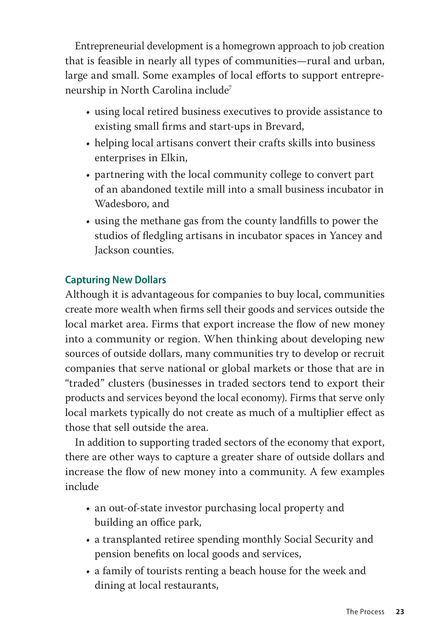<span id="page-33-0"></span>Entrepreneurial development is a homegrown approach to job creation that is feasible in nearly all types of communities—rural and urban, large and small. Some examples of local efforts to support entrepreneurship in North Carolina include<sup>7</sup>

- using local retired business executives to provide assistance to existing small firms and start-ups in Brevard,
- helping local artisans convert their crafts skills into business enterprises in Elkin,
- partnering with the local community college to convert part of an abandoned textile mill into a small business incubator in Wadesboro, and
- using the methane gas from the county landfills to power the studios of fledgling artisans in incubator spaces in Yancey and Jackson counties.

#### **Capturing New Dollars**

Although it is advantageous for companies to buy local, communities create more wealth when firms sell their goods and services outside the local market area. Firms that export increase the flow of new money into a community or region. When thinking about developing new sources of outside dollars, many communities try to develop or recruit companies that serve national or global markets or those that are in "traded" clusters (businesses in traded sectors tend to export their products and services beyond the local economy). Firms that serve only local markets typically do not create as much of a multiplier effect as those that sell outside the area.

In addition to supporting traded sectors of the economy that export, there are other ways to capture a greater share of outside dollars and increase the flow of new money into a community. A few examples include

- an out-of-state investor purchasing local property and building an office park,
- a transplanted retiree spending monthly Social Security and pension benefits on local goods and services,
- a family of tourists renting a beach house for the week and dining at local restaurants,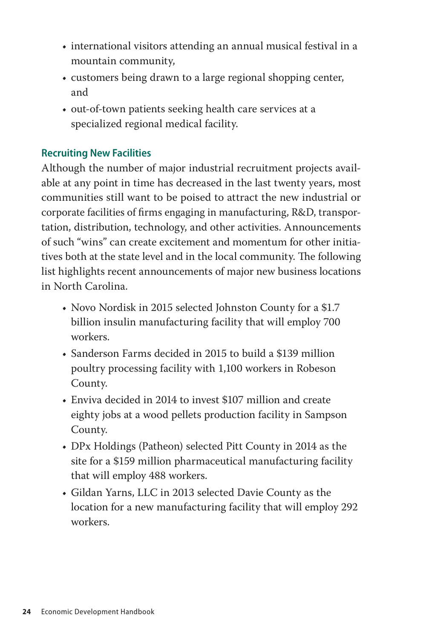- <span id="page-34-0"></span>• international visitors attending an annual musical festival in a mountain community,
- customers being drawn to a large regional shopping center, and
- out-of-town patients seeking health care services at a specialized regional medical facility.

#### **Recruiting New Facilities**

Although the number of major industrial recruitment projects available at any point in time has decreased in the last twenty years, most communities still want to be poised to attract the new industrial or corporate facilities of firms engaging in manufacturing, R&D, transportation, distribution, technology, and other activities. Announcements of such "wins" can create excitement and momentum for other initiatives both at the state level and in the local community. The following list highlights recent announcements of major new business locations in North Carolina.

- Novo Nordisk in 2015 selected Johnston County for a \$1.7 billion insulin manufacturing facility that will employ 700 workers.
- Sanderson Farms decided in 2015 to build a \$139 million poultry processing facility with 1,100 workers in Robeson County.
- Enviva decided in 2014 to invest \$107 million and create eighty jobs at a wood pellets production facility in Sampson County.
- DPx Holdings (Patheon) selected Pitt County in 2014 as the site for a \$159 million pharmaceutical manufacturing facility that will employ 488 workers.
- Gildan Yarns, LLC in 2013 selected Davie County as the location for a new manufacturing facility that will employ 292 workers.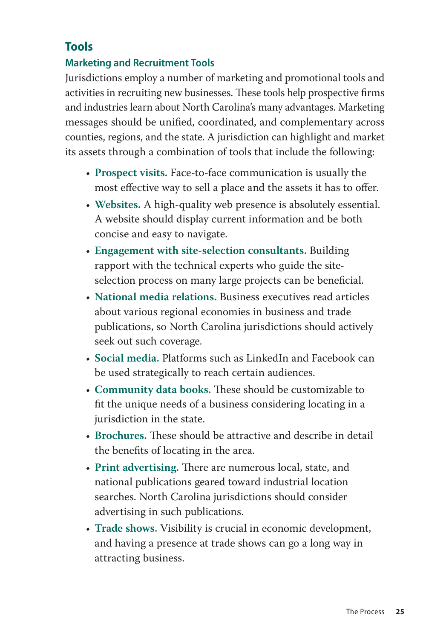#### <span id="page-35-0"></span>**Tools**

#### **Marketing and Recruitment Tools**

Jurisdictions employ a number of marketing and promotional tools and activities in recruiting new businesses. These tools help prospective firms and industries learn about North Carolina's many advantages. Marketing messages should be unified, coordinated, and complementary across counties, regions, and the state. A jurisdiction can highlight and market its assets through a combination of tools that include the following:

- **Prospect visits.** Face-to-face communication is usually the most effective way to sell a place and the assets it has to offer.
- **Websites.** A high-quality web presence is absolutely essential. A website should display current information and be both concise and easy to navigate.
- **Engagement with site-selection consultants.** Building rapport with the technical experts who guide the siteselection process on many large projects can be beneficial.
- **National media relations.** Business executives read articles about various regional economies in business and trade publications, so North Carolina jurisdictions should actively seek out such coverage.
- **Social media.** Platforms such as LinkedIn and Facebook can be used strategically to reach certain audiences.
- **Community data books.** These should be customizable to fit the unique needs of a business considering locating in a jurisdiction in the state.
- **Brochures.** These should be attractive and describe in detail the benefits of locating in the area.
- **Print advertising.** There are numerous local, state, and national publications geared toward industrial location searches. North Carolina jurisdictions should consider advertising in such publications.
- **Trade shows.** Visibility is crucial in economic development, and having a presence at trade shows can go a long way in attracting business.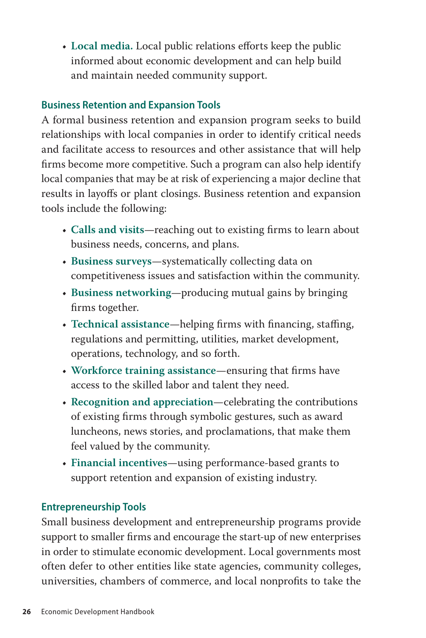<span id="page-36-0"></span>• **Local media.** Local public relations efforts keep the public informed about economic development and can help build and maintain needed community support.

#### **Business Retention and Expansion Tools**

A formal business retention and expansion program seeks to build relationships with local companies in order to identify critical needs and facilitate access to resources and other assistance that will help firms become more competitive. Such a program can also help identify local companies that may be at risk of experiencing a major decline that results in layoffs or plant closings. Business retention and expansion tools include the following:

- **Calls and visits**—reaching out to existing firms to learn about business needs, concerns, and plans.
- **Business surveys**—systematically collecting data on competitiveness issues and satisfaction within the community.
- **Business networking**—producing mutual gains by bringing firms together.
- **Technical assistance**—helping firms with financing, staffing, regulations and permitting, utilities, market development, operations, technology, and so forth.
- **Workforce training assistance**—ensuring that firms have access to the skilled labor and talent they need.
- **Recognition and appreciation**—celebrating the contributions of existing firms through symbolic gestures, such as award luncheons, news stories, and proclamations, that make them feel valued by the community.
- **Financial incentives**—using performance-based grants to support retention and expansion of existing industry.

#### **Entrepreneurship Tools**

Small business development and entrepreneurship programs provide support to smaller firms and encourage the start-up of new enterprises in order to stimulate economic development. Local governments most often defer to other entities like state agencies, community colleges, universities, chambers of commerce, and local nonprofits to take the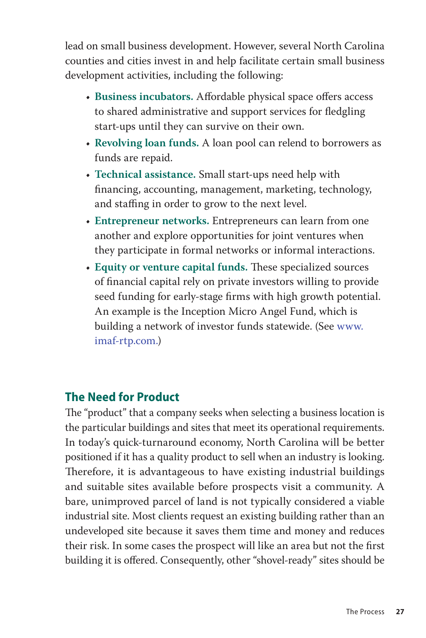<span id="page-37-0"></span>lead on small business development. However, several North Carolina counties and cities invest in and help facilitate certain small business development activities, including the following:

- **Business incubators.** Affordable physical space offers access to shared administrative and support services for fledgling start-ups until they can survive on their own.
- **Revolving loan funds.** A loan pool can relend to borrowers as funds are repaid.
- **Technical assistance.** Small start-ups need help with financing, accounting, management, marketing, technology, and staffing in order to grow to the next level.
- **Entrepreneur networks.** Entrepreneurs can learn from one another and explore opportunities for joint ventures when they participate in formal networks or informal interactions.
- **Equity or venture capital funds.** These specialized sources of financial capital rely on private investors willing to provide seed funding for early-stage firms with high growth potential. An example is the Inception Micro Angel Fund, which is building a network of investor funds statewide. (See [www.](http://www.imaf-rtp.com) [imaf-rtp.com.](http://www.imaf-rtp.com))

#### **The Need for Product**

The "product" that a company seeks when selecting a business location is the particular buildings and sites that meet its operational requirements. In today's quick-turnaround economy, North Carolina will be better positioned if it has a quality product to sell when an industry is looking. Therefore, it is advantageous to have existing industrial buildings and suitable sites available before prospects visit a community. A bare, unimproved parcel of land is not typically considered a viable industrial site. Most clients request an existing building rather than an undeveloped site because it saves them time and money and reduces their risk. In some cases the prospect will like an area but not the first building it is offered. Consequently, other "shovel-ready" sites should be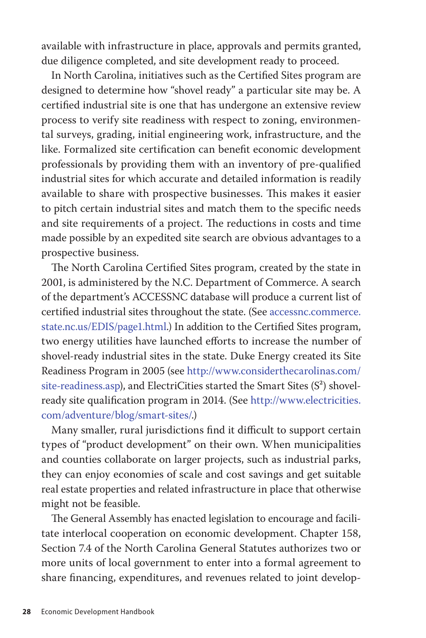available with infrastructure in place, approvals and permits granted, due diligence completed, and site development ready to proceed.

In North Carolina, initiatives such as the Certified Sites program are designed to determine how "shovel ready" a particular site may be. A certified industrial site is one that has undergone an extensive review process to verify site readiness with respect to zoning, environmental surveys, grading, initial engineering work, infrastructure, and the like. Formalized site certification can benefit economic development professionals by providing them with an inventory of pre-qualified industrial sites for which accurate and detailed information is readily available to share with prospective businesses. This makes it easier to pitch certain industrial sites and match them to the specific needs and site requirements of a project. The reductions in costs and time made possible by an expedited site search are obvious advantages to a prospective business.

The North Carolina Certified Sites program, created by the state in 2001, is administered by the N.C. Department of Commerce. A search of the department's ACCESSNC database will produce a current list of certified industrial sites throughout the state. (See [accessnc.commerce.](http://accessnc.commerce.state.nc.us/EDIS/page1.html) [state.nc.us/EDIS/page1.html.](http://accessnc.commerce.state.nc.us/EDIS/page1.html)) In addition to the Certified Sites program, two energy utilities have launched efforts to increase the number of shovel-ready industrial sites in the state. Duke Energy created its Site Readiness Program in 2005 (see [http://www.considerthecarolinas.com/](http://www.considerthecarolinas.com/site-readiness.asp) [site-readiness.asp](http://www.considerthecarolinas.com/site-readiness.asp)), and ElectriCities started the Smart Sites (S<sup>2</sup>) shovelready site qualification program in 2014. (See [http://www.electricities.](http://www.electricities.com/adventure/blog/smart-sites/) [com/adventure/blog/smart-sites/](http://www.electricities.com/adventure/blog/smart-sites/).)

Many smaller, rural jurisdictions find it difficult to support certain types of "product development" on their own. When municipalities and counties collaborate on larger projects, such as industrial parks, they can enjoy economies of scale and cost savings and get suitable real estate properties and related infrastructure in place that otherwise might not be feasible.

The General Assembly has enacted legislation to encourage and facilitate interlocal cooperation on economic development. Chapter 158, Section 7.4 of the North Carolina General Statutes authorizes two or more units of local government to enter into a formal agreement to share financing, expenditures, and revenues related to joint develop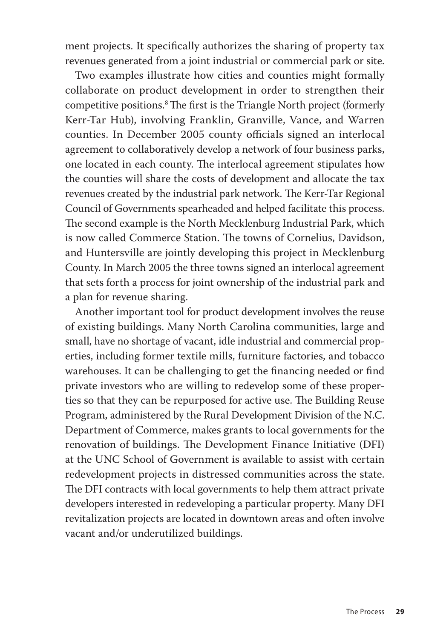ment projects. It specifically authorizes the sharing of property tax revenues generated from a joint industrial or commercial park or site.

Two examples illustrate how cities and counties might formally collaborate on product development in order to strengthen their competitive positions.8 The first is the Triangle North project (formerly Kerr-Tar Hub), involving Franklin, Granville, Vance, and Warren counties. In December 2005 county officials signed an interlocal agreement to collaboratively develop a network of four business parks, one located in each county. The interlocal agreement stipulates how the counties will share the costs of development and allocate the tax revenues created by the industrial park network. The Kerr-Tar Regional Council of Governments spearheaded and helped facilitate this process. The second example is the North Mecklenburg Industrial Park, which is now called Commerce Station. The towns of Cornelius, Davidson, and Huntersville are jointly developing this project in Mecklenburg County. In March 2005 the three towns signed an interlocal agreement that sets forth a process for joint ownership of the industrial park and a plan for revenue sharing.

Another important tool for product development involves the reuse of existing buildings. Many North Carolina communities, large and small, have no shortage of vacant, idle industrial and commercial properties, including former textile mills, furniture factories, and tobacco warehouses. It can be challenging to get the financing needed or find private investors who are willing to redevelop some of these properties so that they can be repurposed for active use. The Building Reuse Program, administered by the Rural Development Division of the N.C. Department of Commerce, makes grants to local governments for the renovation of buildings. The Development Finance Initiative (DFI) at the UNC School of Government is available to assist with certain redevelopment projects in distressed communities across the state. The DFI contracts with local governments to help them attract private developers interested in redeveloping a particular property. Many DFI revitalization projects are located in downtown areas and often involve vacant and/or underutilized buildings.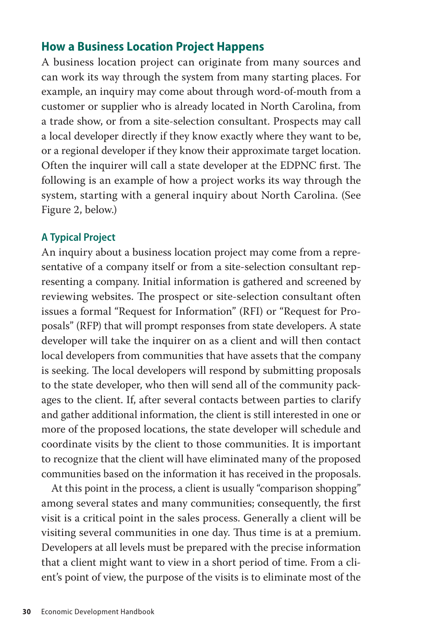#### <span id="page-40-0"></span>**How a Business Location Project Happens**

A business location project can originate from many sources and can work its way through the system from many starting places. For example, an inquiry may come about through word-of-mouth from a customer or supplier who is already located in North Carolina, from a trade show, or from a site-selection consultant. Prospects may call a local developer directly if they know exactly where they want to be, or a regional developer if they know their approximate target location. Often the inquirer will call a state developer at the EDPNC first. The following is an example of how a project works its way through the system, starting with a general inquiry about North Carolina. (See Figure 2, below.)

#### **A Typical Project**

An inquiry about a business location project may come from a representative of a company itself or from a site-selection consultant representing a company. Initial information is gathered and screened by reviewing websites. The prospect or site-selection consultant often issues a formal "Request for Information" (RFI) or "Request for Proposals" (RFP) that will prompt responses from state developers. A state developer will take the inquirer on as a client and will then contact local developers from communities that have assets that the company is seeking. The local developers will respond by submitting proposals to the state developer, who then will send all of the community packages to the client. If, after several contacts between parties to clarify and gather additional information, the client is still interested in one or more of the proposed locations, the state developer will schedule and coordinate visits by the client to those communities. It is important to recognize that the client will have eliminated many of the proposed communities based on the information it has received in the proposals.

At this point in the process, a client is usually "comparison shopping" among several states and many communities; consequently, the first visit is a critical point in the sales process. Generally a client will be visiting several communities in one day. Thus time is at a premium. Developers at all levels must be prepared with the precise information that a client might want to view in a short period of time. From a client's point of view, the purpose of the visits is to eliminate most of the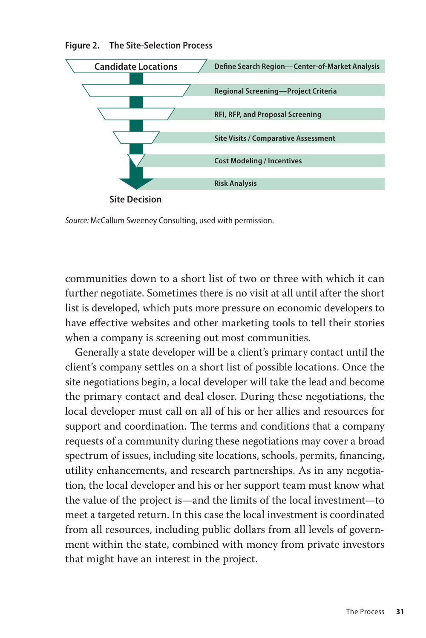

**Figure 2. The Site-Selection Process**

*Source:* McCallum Sweeney Consulting, used with permission.

communities down to a short list of two or three with which it can further negotiate. Sometimes there is no visit at all until after the short list is developed, which puts more pressure on economic developers to have effective websites and other marketing tools to tell their stories when a company is screening out most communities.

Generally a state developer will be a client's primary contact until the client's company settles on a short list of possible locations. Once the site negotiations begin, a local developer will take the lead and become the primary contact and deal closer. During these negotiations, the local developer must call on all of his or her allies and resources for support and coordination. The terms and conditions that a company requests of a community during these negotiations may cover a broad spectrum of issues, including site locations, schools, permits, financing, utility enhancements, and research partnerships. As in any negotiation, the local developer and his or her support team must know what the value of the project is—and the limits of the local investment—to meet a targeted return. In this case the local investment is coordinated from all resources, including public dollars from all levels of government within the state, combined with money from private investors that might have an interest in the project.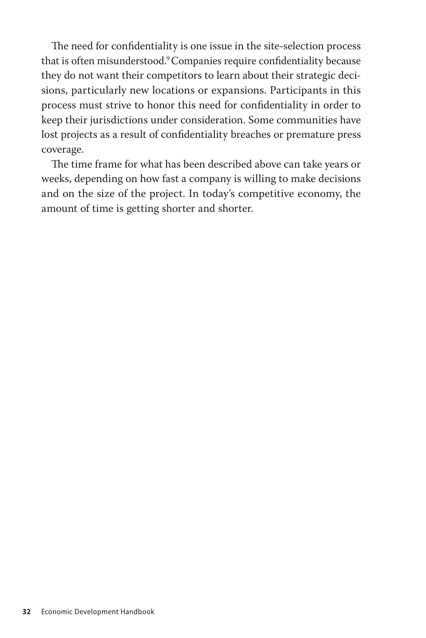The need for confidentiality is one issue in the site-selection process that is often misunderstood.<sup>9</sup> Companies require confidentiality because they do not want their competitors to learn about their strategic decisions, particularly new locations or expansions. Participants in this process must strive to honor this need for confidentiality in order to keep their jurisdictions under consideration. Some communities have lost projects as a result of confidentiality breaches or premature press coverage.

The time frame for what has been described above can take years or weeks, depending on how fast a company is willing to make decisions and on the size of the project. In today's competitive economy, the amount of time is getting shorter and shorter.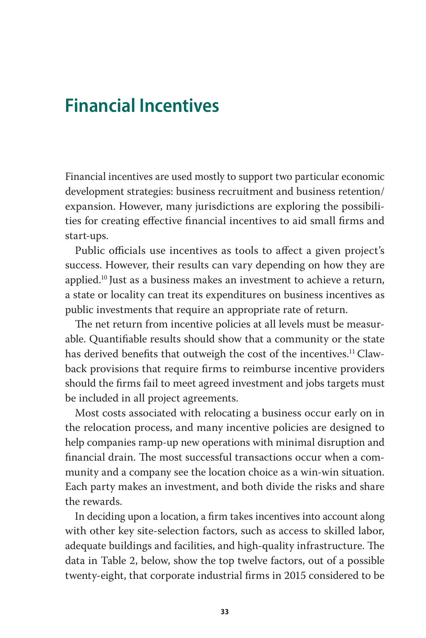## <span id="page-43-0"></span>**Financial Incentives**

Financial incentives are used mostly to support two particular economic development strategies: business recruitment and business retention/ expansion. However, many jurisdictions are exploring the possibilities for creating effective financial incentives to aid small firms and start-ups.

Public officials use incentives as tools to affect a given project's success. However, their results can vary depending on how they are applied.10 Just as a business makes an investment to achieve a return, a state or locality can treat its expenditures on business incentives as public investments that require an appropriate rate of return.

The net return from incentive policies at all levels must be measurable. Quantifiable results should show that a community or the state has derived benefits that outweigh the cost of the incentives.<sup>11</sup> Clawback provisions that require firms to reimburse incentive providers should the firms fail to meet agreed investment and jobs targets must be included in all project agreements.

Most costs associated with relocating a business occur early on in the relocation process, and many incentive policies are designed to help companies ramp-up new operations with minimal disruption and financial drain. The most successful transactions occur when a community and a company see the location choice as a win-win situation. Each party makes an investment, and both divide the risks and share the rewards.

In deciding upon a location, a firm takes incentives into account along with other key site-selection factors, such as access to skilled labor, adequate buildings and facilities, and high-quality infrastructure. The data in Table 2, below, show the top twelve factors, out of a possible twenty-eight, that corporate industrial firms in 2015 considered to be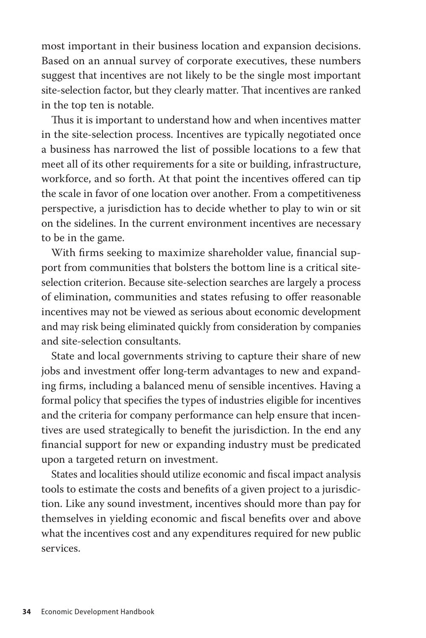most important in their business location and expansion decisions. Based on an annual survey of corporate executives, these numbers suggest that incentives are not likely to be the single most important site-selection factor, but they clearly matter. That incentives are ranked in the top ten is notable.

Thus it is important to understand how and when incentives matter in the site-selection process. Incentives are typically negotiated once a business has narrowed the list of possible locations to a few that meet all of its other requirements for a site or building, infrastructure, workforce, and so forth. At that point the incentives offered can tip the scale in favor of one location over another. From a competitiveness perspective, a jurisdiction has to decide whether to play to win or sit on the sidelines. In the current environment incentives are necessary to be in the game.

With firms seeking to maximize shareholder value, financial support from communities that bolsters the bottom line is a critical siteselection criterion. Because site-selection searches are largely a process of elimination, communities and states refusing to offer reasonable incentives may not be viewed as serious about economic development and may risk being eliminated quickly from consideration by companies and site-selection consultants.

State and local governments striving to capture their share of new jobs and investment offer long-term advantages to new and expanding firms, including a balanced menu of sensible incentives. Having a formal policy that specifies the types of industries eligible for incentives and the criteria for company performance can help ensure that incentives are used strategically to benefit the jurisdiction. In the end any financial support for new or expanding industry must be predicated upon a targeted return on investment.

States and localities should utilize economic and fiscal impact analysis tools to estimate the costs and benefits of a given project to a jurisdiction. Like any sound investment, incentives should more than pay for themselves in yielding economic and fiscal benefits over and above what the incentives cost and any expenditures required for new public services.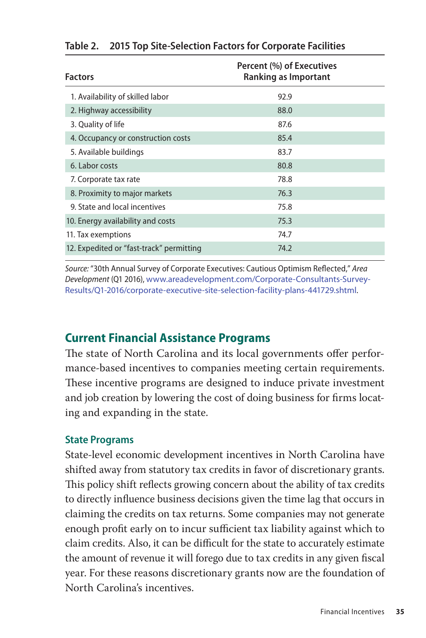| <b>Factors</b>                           | Percent (%) of Executives<br><b>Ranking as Important</b> |  |
|------------------------------------------|----------------------------------------------------------|--|
| 1. Availability of skilled labor         | 92.9                                                     |  |
| 2. Highway accessibility                 | 88.0                                                     |  |
| 3. Quality of life                       | 87.6                                                     |  |
| 4. Occupancy or construction costs       | 85.4                                                     |  |
| 5. Available buildings                   | 83.7                                                     |  |
| 6. Labor costs                           | 80.8                                                     |  |
| 7. Corporate tax rate                    | 78.8                                                     |  |
| 8. Proximity to major markets            | 76.3                                                     |  |
| 9. State and local incentives            | 75.8                                                     |  |
| 10. Energy availability and costs        | 75.3                                                     |  |
| 11. Tax exemptions                       | 74.7                                                     |  |
| 12. Expedited or "fast-track" permitting | 74.2                                                     |  |

<span id="page-45-0"></span>**Table 2. 2015 Top Site-Selection Factors for Corporate Facilities**

*Source:* "30th Annual Survey of Corporate Executives: Cautious Optimism Reflected," *Area Development* (Q1 2016), [www.areadevelopment.com/Corporate-Consultants-Survey-](http://www.areadevelopment.com/Corporate-Consultants-Survey-Results/Q1-2016/corporate-executive-site-selection-facility-plans-441729.shtml)[Results/Q1-2016/corporate-executive-site-selection-facility-plans-441729.shtml](http://www.areadevelopment.com/Corporate-Consultants-Survey-Results/Q1-2016/corporate-executive-site-selection-facility-plans-441729.shtml).

#### **Current Financial Assistance Programs**

The state of North Carolina and its local governments offer performance-based incentives to companies meeting certain requirements. These incentive programs are designed to induce private investment and job creation by lowering the cost of doing business for firms locating and expanding in the state.

#### **State Programs**

State-level economic development incentives in North Carolina have shifted away from statutory tax credits in favor of discretionary grants. This policy shift reflects growing concern about the ability of tax credits to directly influence business decisions given the time lag that occurs in claiming the credits on tax returns. Some companies may not generate enough profit early on to incur sufficient tax liability against which to claim credits. Also, it can be difficult for the state to accurately estimate the amount of revenue it will forego due to tax credits in any given fiscal year. For these reasons discretionary grants now are the foundation of North Carolina's incentives.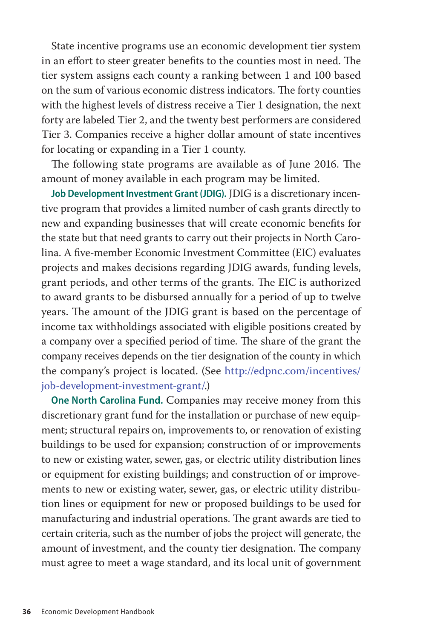State incentive programs use an economic development tier system in an effort to steer greater benefits to the counties most in need. The tier system assigns each county a ranking between 1 and 100 based on the sum of various economic distress indicators. The forty counties with the highest levels of distress receive a Tier 1 designation, the next forty are labeled Tier 2, and the twenty best performers are considered Tier 3. Companies receive a higher dollar amount of state incentives for locating or expanding in a Tier 1 county.

The following state programs are available as of June 2016. The amount of money available in each program may be limited.

**Job Development Investment Grant (JDIG).** JDIG is a discretionary incentive program that provides a limited number of cash grants directly to new and expanding businesses that will create economic benefits for the state but that need grants to carry out their projects in North Carolina. A five-member Economic Investment Committee (EIC) evaluates projects and makes decisions regarding JDIG awards, funding levels, grant periods, and other terms of the grants. The EIC is authorized to award grants to be disbursed annually for a period of up to twelve years. The amount of the JDIG grant is based on the percentage of income tax withholdings associated with eligible positions created by a company over a specified period of time. The share of the grant the company receives depends on the tier designation of the county in which the company's project is located. (See [http://edpnc.com/incentives/](http://edpnc.com/incentives/job-development-investment-grant/) [job-development-investment-grant/](http://edpnc.com/incentives/job-development-investment-grant/).)

**One North Carolina Fund.** Companies may receive money from this discretionary grant fund for the installation or purchase of new equipment; structural repairs on, improvements to, or renovation of existing buildings to be used for expansion; construction of or improvements to new or existing water, sewer, gas, or electric utility distribution lines or equipment for existing buildings; and construction of or improvements to new or existing water, sewer, gas, or electric utility distribution lines or equipment for new or proposed buildings to be used for manufacturing and industrial operations. The grant awards are tied to certain criteria, such as the number of jobs the project will generate, the amount of investment, and the county tier designation. The company must agree to meet a wage standard, and its local unit of government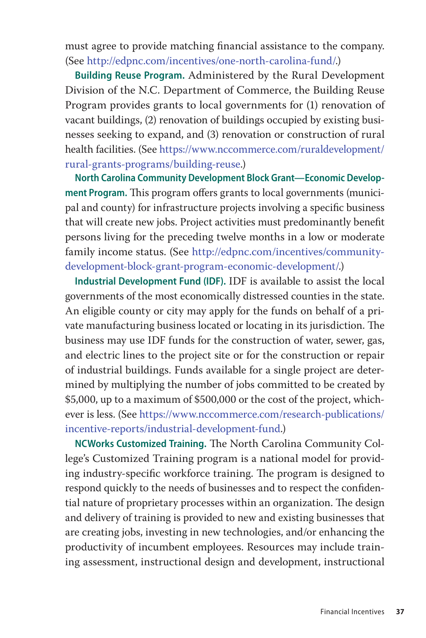must agree to provide matching financial assistance to the company. (See <http://edpnc.com/incentives/one-north-carolina-fund/>.)

**Building Reuse Program.** Administered by the Rural Development Division of the N.C. Department of Commerce, the Building Reuse Program provides grants to local governments for (1) renovation of vacant buildings, (2) renovation of buildings occupied by existing businesses seeking to expand, and (3) renovation or construction of rural health facilities. (See [https://www.nccommerce.com/ruraldevelopment/](https://www.nccommerce.com/ruraldevelopment/rural-grants-programs/building-reuse) [rural-grants-programs/building-reuse.](https://www.nccommerce.com/ruraldevelopment/rural-grants-programs/building-reuse))

**North Carolina Community Development Block Grant—Economic Development Program.** This program offers grants to local governments (municipal and county) for infrastructure projects involving a specific business that will create new jobs. Project activities must predominantly benefit persons living for the preceding twelve months in a low or moderate family income status. (See [http://edpnc.com/incentives/community](http://edpnc.com/incentives/community-development-block-grant-program-economic-development/)[development-block-grant-program-economic-development/](http://edpnc.com/incentives/community-development-block-grant-program-economic-development/).)

**Industrial Development Fund (IDF).** IDF is available to assist the local governments of the most economically distressed counties in the state. An eligible county or city may apply for the funds on behalf of a private manufacturing business located or locating in its jurisdiction. The business may use IDF funds for the construction of water, sewer, gas, and electric lines to the project site or for the construction or repair of industrial buildings. Funds available for a single project are determined by multiplying the number of jobs committed to be created by \$5,000, up to a maximum of \$500,000 or the cost of the project, whichever is less. (See [https://www.nccommerce.com/research-publications/](https://www.nccommerce.com/research-publications/incentive-reports/industrial-development-fund) [incentive-reports/industrial-development-fund](https://www.nccommerce.com/research-publications/incentive-reports/industrial-development-fund).)

**NCWorks Customized Training.** The North Carolina Community College's Customized Training program is a national model for providing industry-specific workforce training. The program is designed to respond quickly to the needs of businesses and to respect the confidential nature of proprietary processes within an organization. The design and delivery of training is provided to new and existing businesses that are creating jobs, investing in new technologies, and/or enhancing the productivity of incumbent employees. Resources may include training assessment, instructional design and development, instructional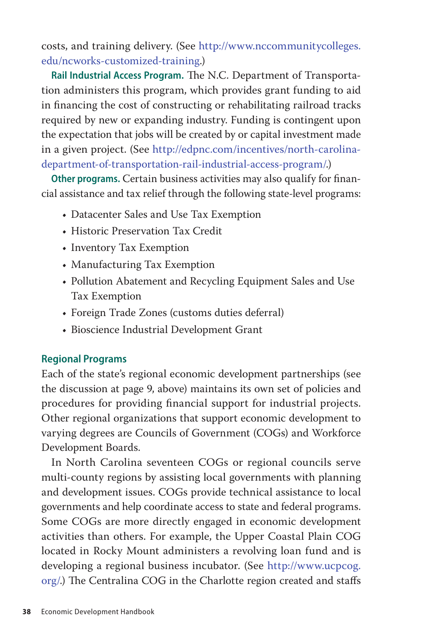<span id="page-48-0"></span>costs, and training delivery. (See [http://www.nccommunitycolleges.](http://www.nccommunitycolleges.edu/ncworks-customized-training) [edu/ncworks-customized-training](http://www.nccommunitycolleges.edu/ncworks-customized-training).)

**Rail Industrial Access Program.** The N.C. Department of Transportation administers this program, which provides grant funding to aid in financing the cost of constructing or rehabilitating railroad tracks required by new or expanding industry. Funding is contingent upon the expectation that jobs will be created by or capital investment made in a given project. (See [http://edpnc.com/incentives/north-carolina](http://edpnc.com/incentives/north-carolina-department-of-transportation-rail-industrial-access-program/)[department-of-transportation-rail-industrial-access-program/](http://edpnc.com/incentives/north-carolina-department-of-transportation-rail-industrial-access-program/).)

**Other programs.** Certain business activities may also qualify for financial assistance and tax relief through the following state-level programs:

- Datacenter Sales and Use Tax Exemption
- Historic Preservation Tax Credit
- Inventory Tax Exemption
- Manufacturing Tax Exemption
- Pollution Abatement and Recycling Equipment Sales and Use Tax Exemption
- Foreign Trade Zones (customs duties deferral)
- Bioscience Industrial Development Grant

#### **Regional Programs**

Each of the state's regional economic development partnerships (see the discussion at page 9, above) maintains its own set of policies and procedures for providing financial support for industrial projects. Other regional organizations that support economic development to varying degrees are Councils of Government (COGs) and Workforce Development Boards.

In North Carolina seventeen COGs or regional councils serve multi-county regions by assisting local governments with planning and development issues. COGs provide technical assistance to local governments and help coordinate access to state and federal programs. Some COGs are more directly engaged in economic development activities than others. For example, the Upper Coastal Plain COG located in Rocky Mount administers a revolving loan fund and is developing a regional business incubator. (See [http://www.ucpcog.](http://www.ucpcog.org/) [org/.](http://www.ucpcog.org/)) The Centralina COG in the Charlotte region created and staffs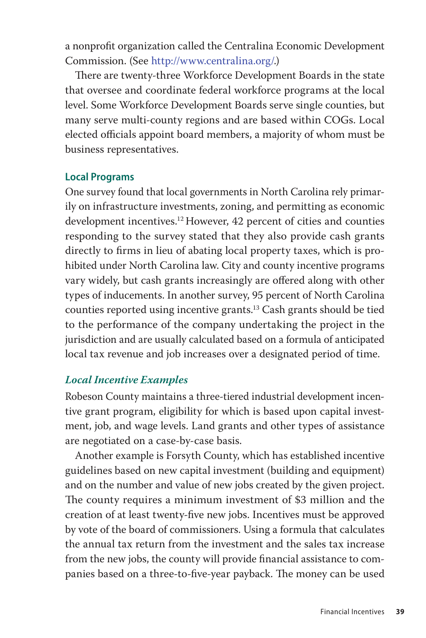<span id="page-49-0"></span>a nonprofit organization called the Centralina Economic Development Commission. (See [http://www.centralina.org/.](http://www.centralina.org/))

There are twenty-three Workforce Development Boards in the state that oversee and coordinate federal workforce programs at the local level. Some Workforce Development Boards serve single counties, but many serve multi-county regions and are based within COGs. Local elected officials appoint board members, a majority of whom must be business representatives.

#### **Local Programs**

One survey found that local governments in North Carolina rely primarily on infrastructure investments, zoning, and permitting as economic development incentives.12 However, 42 percent of cities and counties responding to the survey stated that they also provide cash grants directly to firms in lieu of abating local property taxes, which is prohibited under North Carolina law. City and county incentive programs vary widely, but cash grants increasingly are offered along with other types of inducements. In another survey, 95 percent of North Carolina counties reported using incentive grants.13 Cash grants should be tied to the performance of the company undertaking the project in the jurisdiction and are usually calculated based on a formula of anticipated local tax revenue and job increases over a designated period of time.

#### *Local Incentive Examples*

Robeson County maintains a three-tiered industrial development incentive grant program, eligibility for which is based upon capital investment, job, and wage levels. Land grants and other types of assistance are negotiated on a case-by-case basis.

Another example is Forsyth County, which has established incentive guidelines based on new capital investment (building and equipment) and on the number and value of new jobs created by the given project. The county requires a minimum investment of \$3 million and the creation of at least twenty-five new jobs. Incentives must be approved by vote of the board of commissioners. Using a formula that calculates the annual tax return from the investment and the sales tax increase from the new jobs, the county will provide financial assistance to companies based on a three-to-five-year payback. The money can be used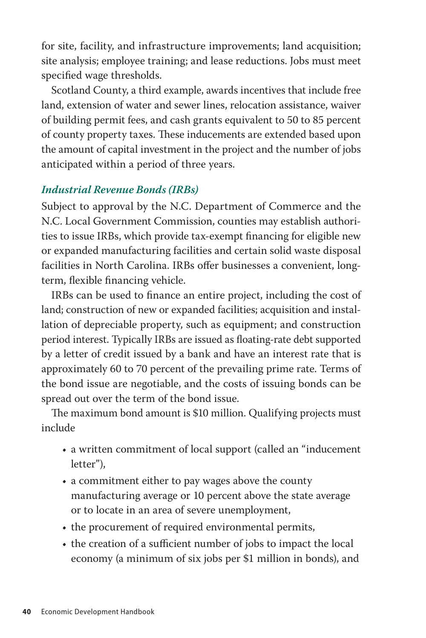<span id="page-50-0"></span>for site, facility, and infrastructure improvements; land acquisition; site analysis; employee training; and lease reductions. Jobs must meet specified wage thresholds.

Scotland County, a third example, awards incentives that include free land, extension of water and sewer lines, relocation assistance, waiver of building permit fees, and cash grants equivalent to 50 to 85 percent of county property taxes. These inducements are extended based upon the amount of capital investment in the project and the number of jobs anticipated within a period of three years.

#### *Industrial Revenue Bonds (IRBs)*

Subject to approval by the N.C. Department of Commerce and the N.C. Local Government Commission, counties may establish authorities to issue IRBs, which provide tax-exempt financing for eligible new or expanded manufacturing facilities and certain solid waste disposal facilities in North Carolina. IRBs offer businesses a convenient, longterm, flexible financing vehicle.

IRBs can be used to finance an entire project, including the cost of land; construction of new or expanded facilities; acquisition and installation of depreciable property, such as equipment; and construction period interest. Typically IRBs are issued as floating-rate debt supported by a letter of credit issued by a bank and have an interest rate that is approximately 60 to 70 percent of the prevailing prime rate. Terms of the bond issue are negotiable, and the costs of issuing bonds can be spread out over the term of the bond issue.

The maximum bond amount is \$10 million. Qualifying projects must include

- a written commitment of local support (called an "inducement letter"),
- a commitment either to pay wages above the county manufacturing average or 10 percent above the state average or to locate in an area of severe unemployment,
- the procurement of required environmental permits,
- the creation of a sufficient number of jobs to impact the local economy (a minimum of six jobs per \$1 million in bonds), and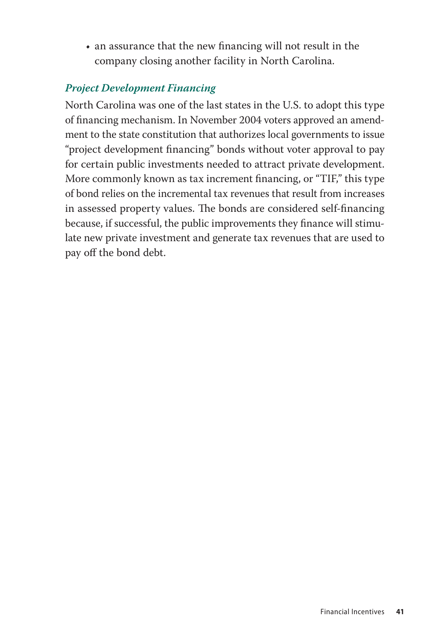<span id="page-51-0"></span>• an assurance that the new financing will not result in the company closing another facility in North Carolina.

#### *Project Development Financing*

North Carolina was one of the last states in the U.S. to adopt this type of financing mechanism. In November 2004 voters approved an amendment to the state constitution that authorizes local governments to issue "project development financing" bonds without voter approval to pay for certain public investments needed to attract private development. More commonly known as tax increment financing, or "TIF," this type of bond relies on the incremental tax revenues that result from increases in assessed property values. The bonds are considered self-financing because, if successful, the public improvements they finance will stimulate new private investment and generate tax revenues that are used to pay off the bond debt.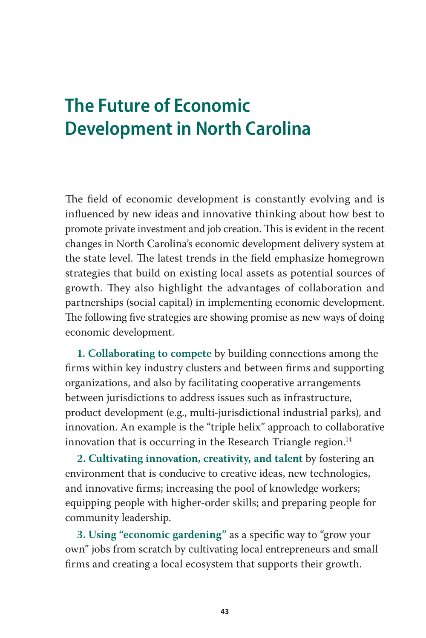# <span id="page-53-0"></span>**The Future of Economic Development in North Carolina**

The field of economic development is constantly evolving and is influenced by new ideas and innovative thinking about how best to promote private investment and job creation. This is evident in the recent changes in North Carolina's economic development delivery system at the state level. The latest trends in the field emphasize homegrown strategies that build on existing local assets as potential sources of growth. They also highlight the advantages of collaboration and partnerships (social capital) in implementing economic development. The following five strategies are showing promise as new ways of doing economic development.

**1. Collaborating to compete** by building connections among the firms within key industry clusters and between firms and supporting organizations, and also by facilitating cooperative arrangements between jurisdictions to address issues such as infrastructure, product development (e.g., multi-jurisdictional industrial parks), and innovation. An example is the "triple helix" approach to collaborative innovation that is occurring in the Research Triangle region. $14$ 

**2. Cultivating innovation, creativity, and talent** by fostering an environment that is conducive to creative ideas, new technologies, and innovative firms; increasing the pool of knowledge workers; equipping people with higher-order skills; and preparing people for community leadership.

**3. Using "economic gardening"** as a specific way to "grow your own" jobs from scratch by cultivating local entrepreneurs and small firms and creating a local ecosystem that supports their growth.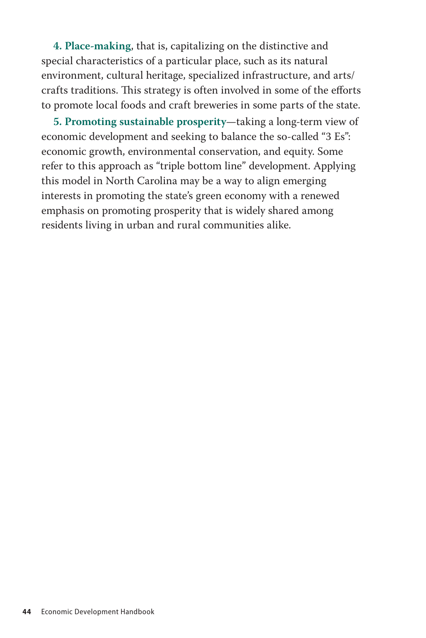**4. Place-making**, that is, capitalizing on the distinctive and special characteristics of a particular place, such as its natural environment, cultural heritage, specialized infrastructure, and arts/ crafts traditions. This strategy is often involved in some of the efforts to promote local foods and craft breweries in some parts of the state.

**5. Promoting sustainable prosperity**—taking a long-term view of economic development and seeking to balance the so-called "3 Es": economic growth, environmental conservation, and equity. Some refer to this approach as "triple bottom line" development. Applying this model in North Carolina may be a way to align emerging interests in promoting the state's green economy with a renewed emphasis on promoting prosperity that is widely shared among residents living in urban and rural communities alike.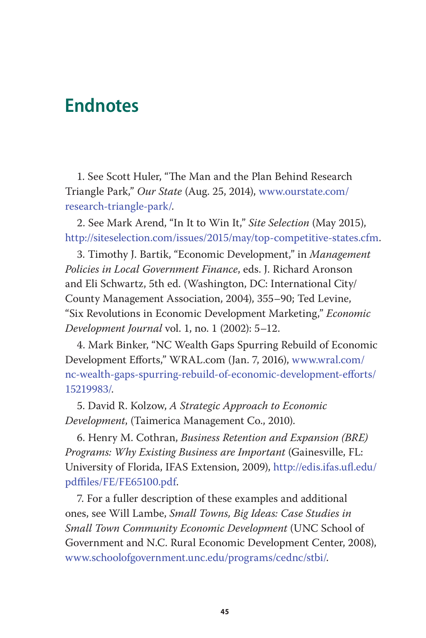### <span id="page-55-0"></span>**Endnotes**

1. See Scott Huler, "The Man and the Plan Behind Research Triangle Park," *Our State* (Aug. 25, 2014), [www.ourstate.com/](http://www.ourstate.com/research-triangle-park/) research-triangle-park/.

2. See Mark Arend, "In It to Win It," *Site Selection* (May 2015), <http://siteselection.com/issues/2015/may/top-competitive-states.cfm>.

3. Timothy J. Bartik, "Economic Development," in *Management Policies in Local Government Finance*, eds. J. Richard Aronson and Eli Schwartz, 5th ed. (Washington, DC: International City/ County Management Association, 2004), 355–90; Ted Levine, "Six Revolutions in Economic Development Marketing," *Economic Development Journal* vol. 1, no. 1 (2002): 5–12.

4. Mark Binker, "NC Wealth Gaps Spurring Rebuild of Economic Development Efforts," WRAL.com (Jan. 7, 2016), [www.wral.com/](http://www.wral.com/nc-wealth-gaps-spurring-rebuild-of-economic-development-efforts/15219983/) [nc-wealth-gaps-spurring-rebuild-of-economic-development-efforts/](http://www.wral.com/nc-wealth-gaps-spurring-rebuild-of-economic-development-efforts/15219983/)  [15219983/.](http://www.wral.com/nc-wealth-gaps-spurring-rebuild-of-economic-development-efforts/15219983/)

5. David R. Kolzow, *A Strategic Approach to Economic Development*, (Taimerica Management Co., 2010).

6. Henry M. Cothran, *Business Retention and Expansion (BRE) Programs: Why Existing Business are Important* (Gainesville, FL: University of Florida, IFAS Extension, 2009), [http://edis.ifas.ufl.edu/](http://edis.ifas.ufl.edu/pdffiles/FE/FE65100.pdf) [pdffiles/FE/FE65100.pdf.](http://edis.ifas.ufl.edu/pdffiles/FE/FE65100.pdf)

7. For a fuller description of these examples and additional ones, see Will Lambe, *Small Towns, Big Ideas: Case Studies in Small Town Community Economic Development* (UNC School of Government and N.C. Rural Economic Development Center, 2008), [www.schoolofgovernment.unc.edu/programs/cednc/stbi/.](http://www.schoolofgovernment.unc.edu/programs/cednc/stbi/)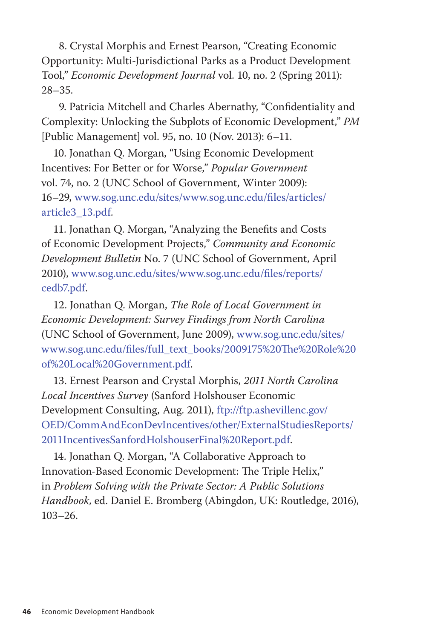8. Crystal Morphis and Ernest Pearson, "Creating Economic Opportunity: Multi-Jurisdictional Parks as a Product Development Tool," *Economic Development Journal* vol. 10, no. 2 (Spring 2011): 28–35.

9. Patricia Mitchell and Charles Abernathy, "Confidentiality and Complexity: Unlocking the Subplots of Economic Development," *PM*  [Public Management] vol. 95, no. 10 (Nov. 2013): 6–11.

10. Jonathan Q. Morgan, "Using Economic Development Incentives: For Better or for Worse," *Popular Government* vol. 74, no. 2 (UNC School of Government, Winter 2009): 16–29, [www.sog.unc.edu/sites/www.sog.unc.edu/files/articles/](http://www.sog.unc.edu/sites/www.sog.unc.edu/files/articles/article3_13.pdf) [article3\\_13.pdf](http://www.sog.unc.edu/sites/www.sog.unc.edu/files/articles/article3_13.pdf).

11. Jonathan Q. Morgan, "Analyzing the Benefits and Costs of Economic Development Projects," *Community and Economic Development Bulletin* No. 7 (UNC School of Government, April 2010), [www.sog.unc.edu/sites/www.sog.unc.edu/files/reports/](http://www.sog.unc.edu/sites/www.sog.unc.edu/files/reports/cedb7.pdf) [cedb7.pdf](http://www.sog.unc.edu/sites/www.sog.unc.edu/files/reports/cedb7.pdf).

12. Jonathan Q. Morgan, *The Role of Local Government in Economic Development: Survey Findings from North Carolina* (UNC School of Government, June 2009), [www.sog.unc.edu/sites/](http://www.sog.unc.edu/sites/www.sog.unc.edu/files/full_text_books/2009175%20The%20Role%20of%20Local%20Government.pdf) [www.sog.unc.edu/files/full\\_text\\_books/2009175%20The%20Role%20](http://www.sog.unc.edu/sites/www.sog.unc.edu/files/full_text_books/2009175%20The%20Role%20of%20Local%20Government.pdf) [of%20Local%20Government.pdf](http://www.sog.unc.edu/sites/www.sog.unc.edu/files/full_text_books/2009175%20The%20Role%20of%20Local%20Government.pdf).

13. Ernest Pearson and Crystal Morphis, *2011 North Carolina Local Incentives Survey* (Sanford Holshouser Economic Development Consulting, Aug. 2011), [ftp://ftp.ashevillenc.gov/](ftp://ftp.ashevillenc.gov/OED/CommAndEconDevIncentives/other/ExternalStudiesReports/2011IncentivesSanfordHolshouserFinal%20Report.pdf) [OED/CommAndEconDevIncentives/other/ExternalStudiesReports/](ftp://ftp.ashevillenc.gov/OED/CommAndEconDevIncentives/other/ExternalStudiesReports/2011IncentivesSanfordHolshouserFinal%20Report.pdf)  [2011IncentivesSanfordHolshouserFinal%20Report.pdf](ftp://ftp.ashevillenc.gov/OED/CommAndEconDevIncentives/other/ExternalStudiesReports/2011IncentivesSanfordHolshouserFinal%20Report.pdf).

14. Jonathan Q. Morgan, "A Collaborative Approach to Innovation-Based Economic Development: The Triple Helix," in *Problem Solving with the Private Sector: A Public Solutions Handbook*, ed. Daniel E. Bromberg (Abingdon, UK: Routledge, 2016), 103–26.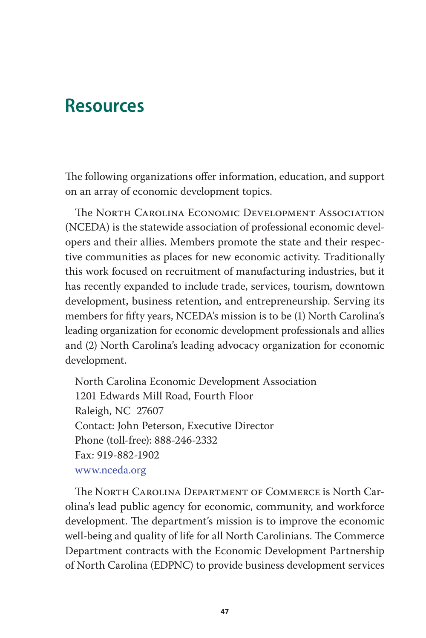### <span id="page-57-0"></span>**Resources**

The following organizations offer information, education, and support on an array of economic development topics.

The North Carolina Economic Development Association (NCEDA) is the statewide association of professional economic developers and their allies. Members promote the state and their respective communities as places for new economic activity. Traditionally this work focused on recruitment of manufacturing industries, but it has recently expanded to include trade, services, tourism, downtown development, business retention, and entrepreneurship. Serving its members for fifty years, NCEDA's mission is to be (1) North Carolina's leading organization for economic development professionals and allies and (2) North Carolina's leading advocacy organization for economic development.

North Carolina Economic Development Association 1201 Edwards Mill Road, Fourth Floor Raleigh, NC 27607 Contact: John Peterson, Executive Director Phone (toll-free): 888-246-2332 Fax: 919-882-1902 [www.nceda.org](http://www.nceda.org)

The North Carolina Department of Commerce is North Carolina's lead public agency for economic, community, and workforce development. The department's mission is to improve the economic well-being and quality of life for all North Carolinians. The Commerce Department contracts with the Economic Development Partnership of North Carolina (EDPNC) to provide business development services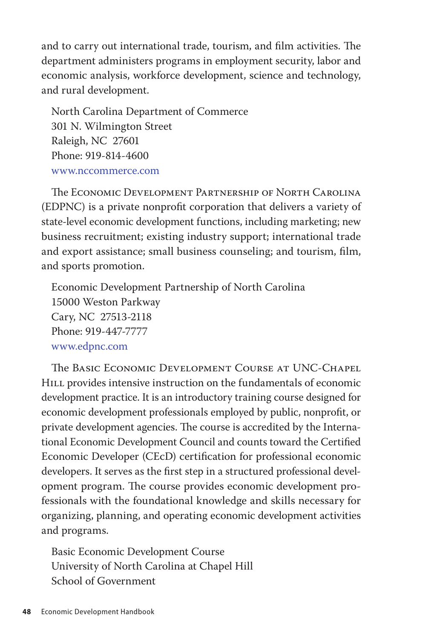and to carry out international trade, tourism, and film activities. The department administers programs in employment security, labor and economic analysis, workforce development, science and technology, and rural development.

North Carolina Department of Commerce 301 N. Wilmington Street Raleigh, NC 27601 Phone: 919-814-4600 [www.nccommerce.com](http://www.nccommerce.com)

The Economic Development Partnership of North Carolina (EDPNC) is a private nonprofit corporation that delivers a variety of state-level economic development functions, including marketing; new business recruitment; existing industry support; international trade and export assistance; small business counseling; and tourism, film, and sports promotion.

Economic Development Partnership of North Carolina 15000 Weston Parkway Cary, NC 27513-2118 Phone: 919-447-7777 [www.edpnc.com](http://www.edpnc.com)

The Basic Economic Development Course at UNC-Chapel HILL provides intensive instruction on the fundamentals of economic development practice. It is an introductory training course designed for economic development professionals employed by public, nonprofit, or private development agencies. The course is accredited by the International Economic Development Council and counts toward the Certified Economic Developer (CEcD) certification for professional economic developers. It serves as the first step in a structured professional development program. The course provides economic development professionals with the foundational knowledge and skills necessary for organizing, planning, and operating economic development activities and programs.

Basic Economic Development Course University of North Carolina at Chapel Hill School of Government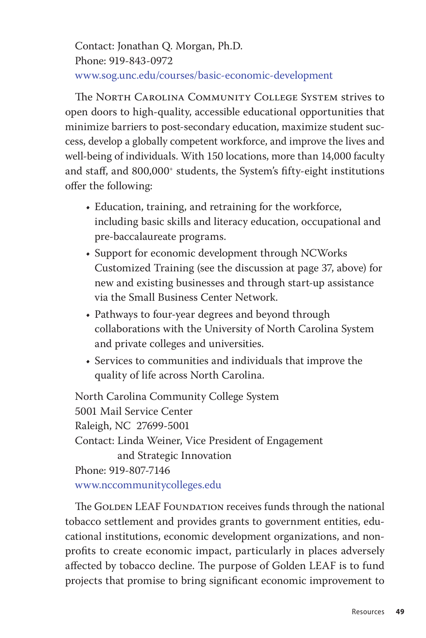Contact: Jonathan Q. Morgan, Ph.D. Phone: 919-843-0972 [www.sog.unc.edu/courses/basic-economic-development](http://www.sog.unc.edu/courses/basic-economic-development)

The North Carolina Community College System strives to open doors to high-quality, accessible educational opportunities that minimize barriers to post-secondary education, maximize student success, develop a globally competent workforce, and improve the lives and well-being of individuals. With 150 locations, more than 14,000 faculty and staff, and 800,000<sup>+</sup> students, the System's fifty-eight institutions offer the following:

- Education, training, and retraining for the workforce, including basic skills and literacy education, occupational and pre-baccalaureate programs.
- Support for economic development through NCWorks Customized Training (see the discussion at page 37, above) for new and existing businesses and through start-up assistance via the Small Business Center Network.
- Pathways to four-year degrees and beyond through collaborations with the University of North Carolina System and private colleges and universities.
- Services to communities and individuals that improve the quality of life across North Carolina.

North Carolina Community College System 5001 Mail Service Center Raleigh, NC 27699-5001 Contact: Linda Weiner, Vice President of Engagement and Strategic Innovation Phone: 919-807-7146 [www.nccommunitycolleges.edu](http://www.nccommunitycolleges.edu)

The GOLDEN LEAF FOUNDATION receives funds through the national tobacco settlement and provides grants to government entities, educational institutions, economic development organizations, and nonprofits to create economic impact, particularly in places adversely affected by tobacco decline. The purpose of Golden LEAF is to fund projects that promise to bring significant economic improvement to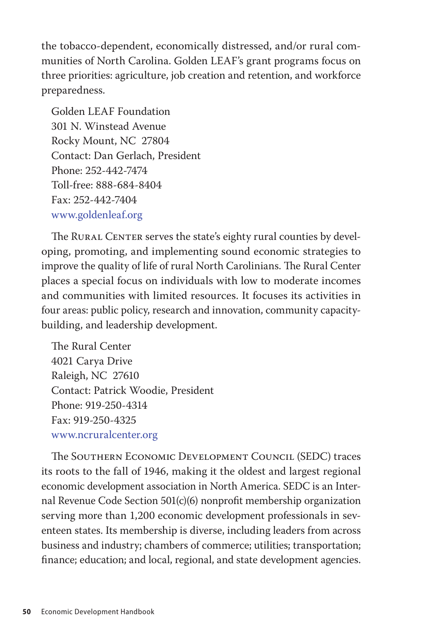the tobacco-dependent, economically distressed, and/or rural communities of North Carolina. Golden LEAF's grant programs focus on three priorities: agriculture, job creation and retention, and workforce preparedness.

Golden LEAF Foundation 301 N. Winstead Avenue Rocky Mount, NC 27804 Contact: Dan Gerlach, President Phone: 252-442-7474 Toll-free: 888-684-8404 Fax: 252-442-7404 [www.goldenleaf.org](http://www.goldenleaf.org)

The RURAL CENTER serves the state's eighty rural counties by developing, promoting, and implementing sound economic strategies to improve the quality of life of rural North Carolinians. The Rural Center places a special focus on individuals with low to moderate incomes and communities with limited resources. It focuses its activities in four areas: public policy, research and innovation, community capacitybuilding, and leadership development.

The Rural Center 4021 Carya Drive Raleigh, NC 27610 Contact: Patrick Woodie, President Phone: 919-250-4314 Fax: 919-250-4325 [www.ncruralcenter.org](http://www.ncruralcenter.org)

The Southern Economic Development Council (SEDC) traces its roots to the fall of 1946, making it the oldest and largest regional economic development association in North America. SEDC is an Internal Revenue Code Section 501(c)(6) nonprofit membership organization serving more than 1,200 economic development professionals in seventeen states. Its membership is diverse, including leaders from across business and industry; chambers of commerce; utilities; transportation; finance; education; and local, regional, and state development agencies.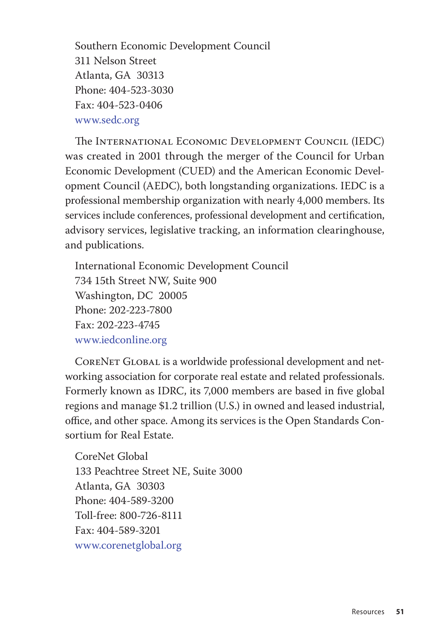Southern Economic Development Council 311 Nelson Street Atlanta, GA 30313 Phone: 404-523-3030 Fax: 404-523-0406 [www.sedc.org](http://www.sedc.org)

The International Economic Development Council (IEDC) was created in 2001 through the merger of the Council for Urban Economic Development (CUED) and the American Economic Development Council (AEDC), both longstanding organizations. IEDC is a professional membership organization with nearly 4,000 members. Its services include conferences, professional development and certification, advisory services, legislative tracking, an information clearinghouse, and publications.

International Economic Development Council 734 15th Street NW, Suite 900 Washington, DC 20005 Phone: 202-223-7800 Fax: 202-223-4745 [www.iedconline.org](http://www.iedconline.org)

CORENET GLOBAL is a worldwide professional development and networking association for corporate real estate and related professionals. Formerly known as IDRC, its 7,000 members are based in five global regions and manage \$1.2 trillion (U.S.) in owned and leased industrial, office, and other space. Among its services is the Open Standards Consortium for Real Estate.

CoreNet Global 133 Peachtree Street NE, Suite 3000 Atlanta, GA 30303 Phone: 404-589-3200 Toll-free: 800-726-8111 Fax: 404-589-3201 [www.corenetglobal.org](http://www.corenetglobal.org)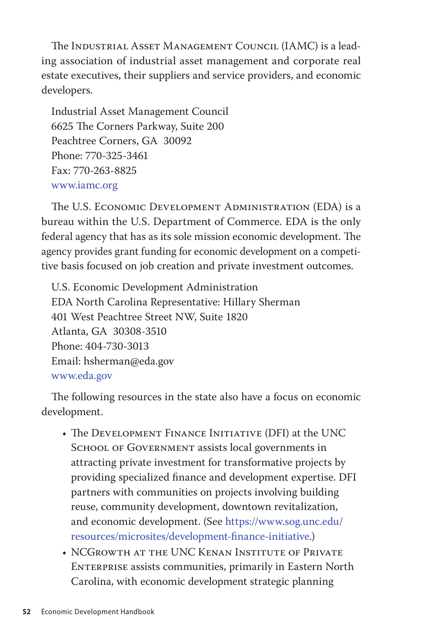The Industrial Asset Management Council (IAMC) is a leading association of industrial asset management and corporate real estate executives, their suppliers and service providers, and economic developers.

Industrial Asset Management Council 6625 The Corners Parkway, Suite 200 Peachtree Corners, GA 30092 Phone: 770-325-3461 Fax: 770-263-8825 [www.iamc.org](http://www.iamc.org)

The U.S. Economic Development Administration (EDA) is a bureau within the U.S. Department of Commerce. EDA is the only federal agency that has as its sole mission economic development. The agency provides grant funding for economic development on a competitive basis focused on job creation and private investment outcomes.

U.S. Economic Development Administration EDA North Carolina Representative: Hillary Sherman 401 West Peachtree Street NW, Suite 1820 Atlanta, GA 30308-3510 Phone: 404-730-3013 Email: hsherman@eda.go[v](http://www.eda.gov) [www.eda.gov](http://www.eda.gov)

The following resources in the state also have a focus on economic development.

- The Development Finance Initiative (DFI) at the UNC SCHOOL OF GOVERNMENT assists local governments in attracting private investment for transformative projects by providing specialized finance and development expertise. DFI partners with communities on projects involving building reuse, community development, downtown revitalization, and economic development. (See [https://www.sog.unc.edu/](https://www.sog.unc.edu/resources/microsites/development-finance-initiative) [resources/microsites/development-finance-initiative.](https://www.sog.unc.edu/resources/microsites/development-finance-initiative))
- NCGrowth at the UNC Kenan Institute of Private ENTERPRISE assists communities, primarily in Eastern North Carolina, with economic development strategic planning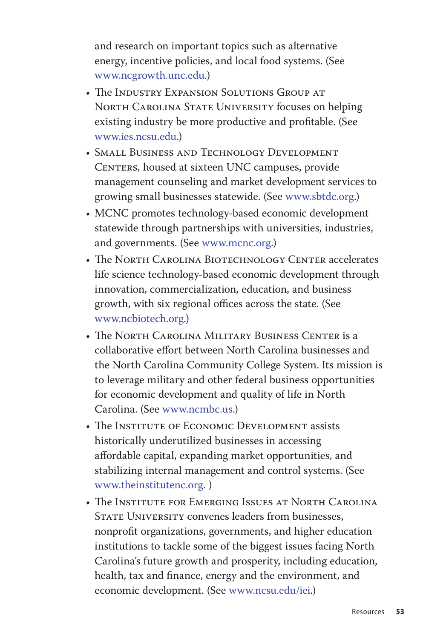and research on important topics such as alternative energy, incentive policies, and local food systems. (See [www.ncgrowth.unc.edu.](http://www.ncgrowth.unc.edu))

- The Industry Expansion Solutions Group at NORTH CAROLINA STATE UNIVERSITY focuses on helping existing industry be more productive and profitable. (See [www.ies.ncsu.edu.](http://www.ies.ncsu.edu))
- Small Business and Technology Development CENTERS, housed at sixteen UNC campuses, provide management counseling and market development services to growing small businesses statewide. (See [www.sbtdc.org.](http://www.sbtdc.org))
- MCNC promotes technology-based economic development statewide through partnerships with universities, industries, and governments. (See [www.mcnc.org.](http://www.mcnc.org))
- The NORTH CAROLINA BIOTECHNOLOGY CENTER accelerates life science technology-based economic development through innovation, commercialization, education, and business growth, with six regional offices across the state. (See [www.ncbiotech.org](http://www.ncbiotech.org).)
- The North Carolina Military Business Center is a collaborative effort between North Carolina businesses and the North Carolina Community College System. Its mission is to leverage military and other federal business opportunities for economic development and quality of life in North Carolina. (See [www.ncmbc.us.](http://www.ncmbc.us))
- The INSTITUTE OF ECONOMIC DEVELOPMENT assists historically underutilized businesses in accessing affordable capital, expanding market opportunities, and stabilizing internal management and control systems. (See [www.theinstitutenc.org.](http://www.theinstitutenc.org) )
- The Institute for Emerging Issues at North Carolina STATE UNIVERSITY convenes leaders from businesses, nonprofit organizations, governments, and higher education institutions to tackle some of the biggest issues facing North Carolina's future growth and prosperity, including education, health, tax and finance, energy and the environment, and economic development. (See [www.ncsu.edu/iei.](http://www.ncsu.edu/iei))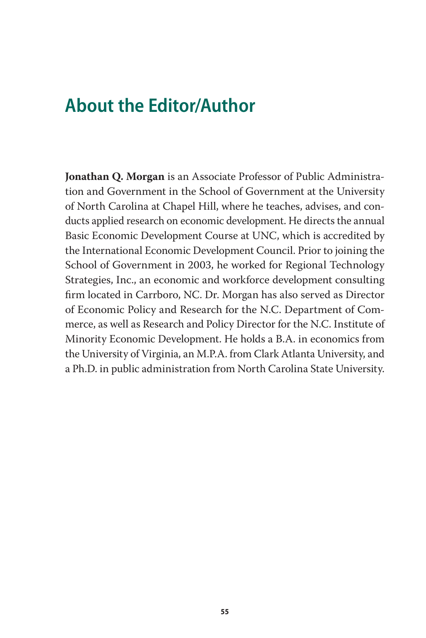# **About the Editor/Author**

**Jonathan Q. Morgan** is an Associate Professor of Public Administration and Government in the School of Government at the University of North Carolina at Chapel Hill, where he teaches, advises, and conducts applied research on economic development. He directs the annual Basic Economic Development Course at UNC, which is accredited by the International Economic Development Council. Prior to joining the School of Government in 2003, he worked for Regional Technology Strategies, Inc., an economic and workforce development consulting firm located in Carrboro, NC. Dr. Morgan has also served as Director of Economic Policy and Research for the N.C. Department of Commerce, as well as Research and Policy Director for the N.C. Institute of Minority Economic Development. He holds a B.A. in economics from the University of Virginia, an M.P.A. from Clark Atlanta University, and a Ph.D. in public administration from North Carolina State University.